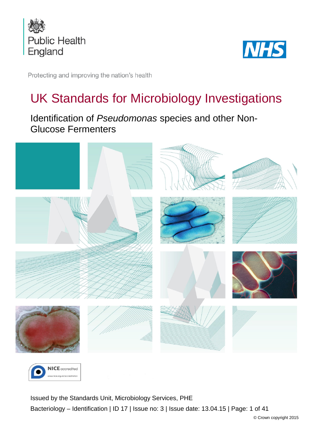



Protecting and improving the nation's health

# UK Standards for Microbiology Investigations

Identification of *Pseudomonas* species and other Non-Glucose Fermenters





<span id="page-0-0"></span>Issued by the Standards Unit, Microbiology Services, PHE Bacteriology – Identification | ID 17 | Issue no: 3 | Issue date: 13.04.15 | Page: 1 of 41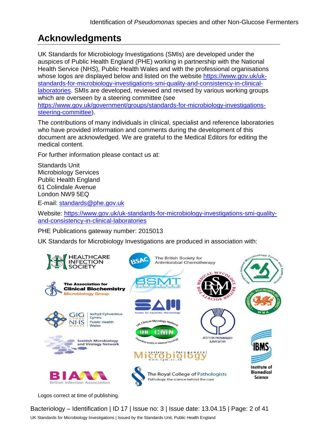# **Acknowledgments**

UK Standards for Microbiology Investigations (SMIs) are developed under the auspices of Public Health England (PHE) working in partnership with the National Health Service (NHS), Public Health Wales and with the professional organisations whose logos are displayed below and listed on the website [https://www.gov.uk/uk](https://www.gov.uk/uk-standards-for-microbiology-investigations-smi-quality-and-consistency-in-clinical-laboratories)[standards-for-microbiology-investigations-smi-quality-and-consistency-in-clinical](https://www.gov.uk/uk-standards-for-microbiology-investigations-smi-quality-and-consistency-in-clinical-laboratories)[laboratories.](https://www.gov.uk/uk-standards-for-microbiology-investigations-smi-quality-and-consistency-in-clinical-laboratories) SMIs are developed, reviewed and revised by various working groups which are overseen by a steering committee (see [https://www.gov.uk/government/groups/standards-for-microbiology-investigations](https://www.gov.uk/government/groups/standards-for-microbiology-investigations-steering-committee)[steering-committee\)](https://www.gov.uk/government/groups/standards-for-microbiology-investigations-steering-committee).

The contributions of many individuals in clinical, specialist and reference laboratories who have provided information and comments during the development of this document are acknowledged. We are grateful to the Medical Editors for editing the medical content.

For further information please contact us at:

Standards Unit Microbiology Services Public Health England 61 Colindale Avenue London NW9 5EQ

E-mail: [standards@phe.gov.uk](mailto:standards@phe.gov.uk)

Website: [https://www.gov.uk/uk-standards-for-microbiology-investigations-smi-quality](https://www.gov.uk/uk-standards-for-microbiology-investigations-smi-quality-and-consistency-in-clinical-laboratories)[and-consistency-in-clinical-laboratories](https://www.gov.uk/uk-standards-for-microbiology-investigations-smi-quality-and-consistency-in-clinical-laboratories)

PHE Publications gateway number: 2015013

UK Standards for Microbiology Investigations are produced in association with:



Logos correct at time of publishing.

Bacteriology – Identification | ID 17 | Issue no: 3 | Issue date: 13.04.15 | Page: 2 of 41 UK Standards for Microbiology Investigations | Issued by the Standards Unit, Public Health England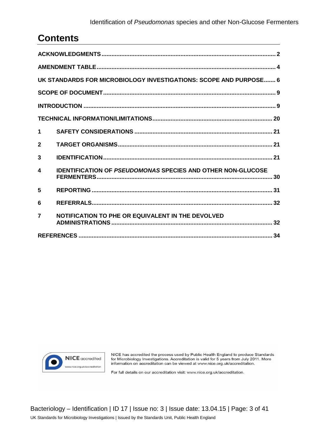#### Identification of *Pseudomonas* species and other Non-Glucose Fermenters

# **Contents**

| UK STANDARDS FOR MICROBIOLOGY INVESTIGATIONS: SCOPE AND PURPOSE 6 |                                                                    |  |  |  |
|-------------------------------------------------------------------|--------------------------------------------------------------------|--|--|--|
|                                                                   |                                                                    |  |  |  |
|                                                                   |                                                                    |  |  |  |
|                                                                   |                                                                    |  |  |  |
| 1                                                                 |                                                                    |  |  |  |
| $\mathbf{2}$                                                      |                                                                    |  |  |  |
| 3                                                                 |                                                                    |  |  |  |
| 4                                                                 | <b>IDENTIFICATION OF PSEUDOMONAS SPECIES AND OTHER NON-GLUCOSE</b> |  |  |  |
| 5                                                                 |                                                                    |  |  |  |
| 6                                                                 |                                                                    |  |  |  |
| $\overline{\mathbf{z}}$                                           | NOTIFICATION TO PHE OR EQUIVALENT IN THE DEVOLVED                  |  |  |  |
|                                                                   |                                                                    |  |  |  |



NICE has accredited the process used by Public Health England to produce Standards for Microbiology Investigations. Accreditation is valid for 5 years from July 2011. More information on accreditation can be viewed at www.nice.org.uk/accreditation.

For full details on our accreditation visit: www.nice.org.uk/accreditation.

Bacteriology – Identification | ID 17 | Issue no: 3 | Issue date: 13.04.15 | Page: 3 of 41 UK Standards for Microbiology Investigations | Issued by the Standards Unit, Public Health England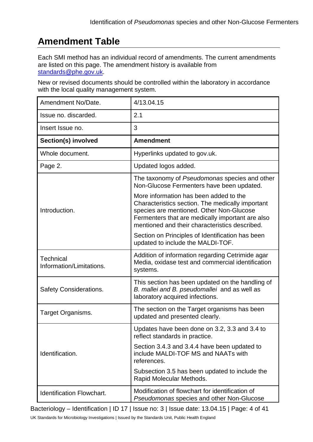# **Amendment Table**

Each SMI method has an individual record of amendments. The current amendments are listed on this page. The amendment history is available from [standards@phe.gov.uk.](mailto:standards@phe.gov.uk)

New or revised documents should be controlled within the laboratory in accordance with the local quality management system.

| Amendment No/Date.                           | 4/13.04.15                                                                                                                                                                                                                           |  |
|----------------------------------------------|--------------------------------------------------------------------------------------------------------------------------------------------------------------------------------------------------------------------------------------|--|
| Issue no. discarded.                         | 2.1                                                                                                                                                                                                                                  |  |
| Insert Issue no.                             | 3                                                                                                                                                                                                                                    |  |
| Section(s) involved                          | <b>Amendment</b>                                                                                                                                                                                                                     |  |
| Whole document.                              | Hyperlinks updated to gov.uk.                                                                                                                                                                                                        |  |
| Page 2.                                      | Updated logos added.                                                                                                                                                                                                                 |  |
| Introduction.                                | The taxonomy of Pseudomonas species and other<br>Non-Glucose Fermenters have been updated.<br>More information has been added to the<br>Characteristics section. The medically important<br>species are mentioned. Other Non-Glucose |  |
|                                              | Fermenters that are medically important are also<br>mentioned and their characteristics described.                                                                                                                                   |  |
|                                              | Section on Principles of Identification has been<br>updated to include the MALDI-TOF.                                                                                                                                                |  |
| <b>Technical</b><br>Information/Limitations. | Addition of information regarding Cetrimide agar<br>Media, oxidase test and commercial identification<br>systems.                                                                                                                    |  |
| <b>Safety Considerations.</b>                | This section has been updated on the handling of<br>B. mallei and B. pseudomallei and as well as<br>laboratory acquired infections.                                                                                                  |  |
| Target Organisms.                            | The section on the Target organisms has been<br>updated and presented clearly.                                                                                                                                                       |  |
|                                              | Updates have been done on 3.2, 3.3 and 3.4 to<br>reflect standards in practice.                                                                                                                                                      |  |
| Identification.                              | Section 3.4.3 and 3.4.4 have been updated to<br>include MALDI-TOF MS and NAATs with<br>references.                                                                                                                                   |  |
|                                              | Subsection 3.5 has been updated to include the<br>Rapid Molecular Methods.                                                                                                                                                           |  |
| <b>Identification Flowchart.</b>             | Modification of flowchart for identification of<br>Pseudomonas species and other Non-Glucose                                                                                                                                         |  |

Bacteriology – Identification | ID 17 | Issue no: 3 | Issue date: 13.04.15 | Page: 4 of 41

UK Standards for Microbiology Investigations | Issued by the Standards Unit, Public Health England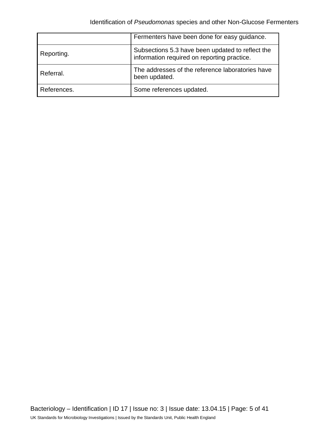|             | Fermenters have been done for easy guidance.                                                    |
|-------------|-------------------------------------------------------------------------------------------------|
| Reporting.  | Subsections 5.3 have been updated to reflect the<br>information required on reporting practice. |
| Referral.   | The addresses of the reference laboratories have<br>been updated.                               |
| References. | Some references updated.                                                                        |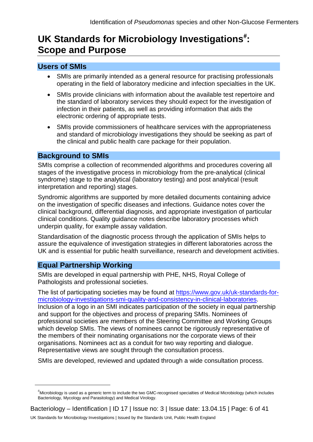# UK Standards for Microbiology Investigations<sup>[#](#page-0-0)</sup>: **Scope and Purpose**

## **Users of SMIs**

- SMIs are primarily intended as a general resource for practising professionals operating in the field of laboratory medicine and infection specialties in the UK.
- SMIs provide clinicians with information about the available test repertoire and the standard of laboratory services they should expect for the investigation of infection in their patients, as well as providing information that aids the electronic ordering of appropriate tests.
- SMIs provide commissioners of healthcare services with the appropriateness and standard of microbiology investigations they should be seeking as part of the clinical and public health care package for their population.

#### **Background to SMIs**

SMIs comprise a collection of recommended algorithms and procedures covering all stages of the investigative process in microbiology from the pre-analytical (clinical syndrome) stage to the analytical (laboratory testing) and post analytical (result interpretation and reporting) stages.

Syndromic algorithms are supported by more detailed documents containing advice on the investigation of specific diseases and infections. Guidance notes cover the clinical background, differential diagnosis, and appropriate investigation of particular clinical conditions. Quality guidance notes describe laboratory processes which underpin quality, for example assay validation.

Standardisation of the diagnostic process through the application of SMIs helps to assure the equivalence of investigation strategies in different laboratories across the UK and is essential for public health surveillance, research and development activities.

# **Equal Partnership Working**

 $\overline{a}$ 

SMIs are developed in equal partnership with PHE, NHS, Royal College of Pathologists and professional societies.

The list of participating societies may be found at [https://www.gov.uk/uk-standards-for](https://www.gov.uk/uk-standards-for-microbiology-investigations-smi-quality-and-consistency-in-clinical-laboratories)[microbiology-investigations-smi-quality-and-consistency-in-clinical-laboratories.](https://www.gov.uk/uk-standards-for-microbiology-investigations-smi-quality-and-consistency-in-clinical-laboratories) Inclusion of a logo in an SMI indicates participation of the society in equal partnership and support for the objectives and process of preparing SMIs. Nominees of professional societies are members of the Steering Committee and Working Groups which develop SMIs. The views of nominees cannot be rigorously representative of the members of their nominating organisations nor the corporate views of their organisations. Nominees act as a conduit for two way reporting and dialogue. Representative views are sought through the consultation process.

SMIs are developed, reviewed and updated through a wide consultation process.

<sup>#</sup> Microbiology is used as a generic term to include the two GMC-recognised specialties of Medical Microbiology (which includes Bacteriology, Mycology and Parasitology) and Medical Virology.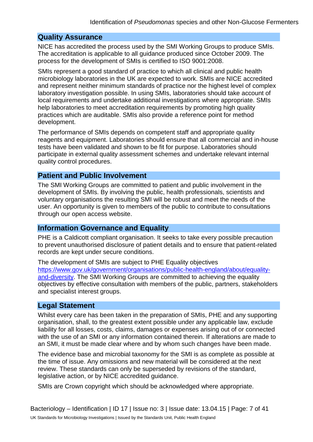# **Quality Assurance**

NICE has accredited the process used by the SMI Working Groups to produce SMIs. The accreditation is applicable to all guidance produced since October 2009. The process for the development of SMIs is certified to ISO 9001:2008.

SMIs represent a good standard of practice to which all clinical and public health microbiology laboratories in the UK are expected to work. SMIs are NICE accredited and represent neither minimum standards of practice nor the highest level of complex laboratory investigation possible. In using SMIs, laboratories should take account of local requirements and undertake additional investigations where appropriate. SMIs help laboratories to meet accreditation requirements by promoting high quality practices which are auditable. SMIs also provide a reference point for method development.

The performance of SMIs depends on competent staff and appropriate quality reagents and equipment. Laboratories should ensure that all commercial and in-house tests have been validated and shown to be fit for purpose. Laboratories should participate in external quality assessment schemes and undertake relevant internal quality control procedures.

# **Patient and Public Involvement**

The SMI Working Groups are committed to patient and public involvement in the development of SMIs. By involving the public, health professionals, scientists and voluntary organisations the resulting SMI will be robust and meet the needs of the user. An opportunity is given to members of the public to contribute to consultations through our open access website.

## **Information Governance and Equality**

PHE is a Caldicott compliant organisation. It seeks to take every possible precaution to prevent unauthorised disclosure of patient details and to ensure that patient-related records are kept under secure conditions.

The development of SMIs are subject to PHE Equality objectives [https://www.gov.uk/government/organisations/public-health-england/about/equality](https://www.gov.uk/government/organisations/public-health-england/about/equality-and-diversity)[and-diversity.](https://www.gov.uk/government/organisations/public-health-england/about/equality-and-diversity) The SMI Working Groups are committed to achieving the equality objectives by effective consultation with members of the public, partners, stakeholders and specialist interest groups.

## **Legal Statement**

Whilst every care has been taken in the preparation of SMIs, PHE and any supporting organisation, shall, to the greatest extent possible under any applicable law, exclude liability for all losses, costs, claims, damages or expenses arising out of or connected with the use of an SMI or any information contained therein. If alterations are made to an SMI, it must be made clear where and by whom such changes have been made.

The evidence base and microbial taxonomy for the SMI is as complete as possible at the time of issue. Any omissions and new material will be considered at the next review. These standards can only be superseded by revisions of the standard, legislative action, or by NICE accredited guidance.

SMIs are Crown copyright which should be acknowledged where appropriate.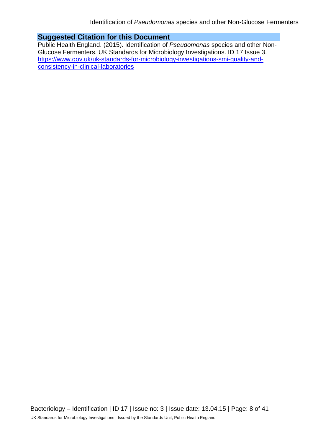# **Suggested Citation for this Document**

Public Health England. (2015). Identification of *Pseudomonas* species and other Non-Glucose Fermenters. UK Standards for Microbiology Investigations. ID 17 Issue 3. [https://www.gov.uk/uk-standards-for-microbiology-investigations-smi-quality-and](https://www.gov.uk/uk-standards-for-microbiology-investigations-smi-quality-and-consistency-in-clinical-laboratories)[consistency-in-clinical-laboratories](https://www.gov.uk/uk-standards-for-microbiology-investigations-smi-quality-and-consistency-in-clinical-laboratories)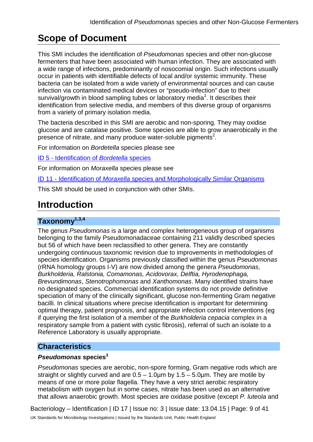# **Scope of Document**

This SMI includes the identification of *Pseudomonas* species and other non-glucose fermenters that have been associated with human infection. They are associated with a wide range of infections, predominantly of nosocomial origin. Such infections usually occur in patients with identifiable defects of local and/or systemic immunity. These bacteria can be isolated from a wide variety of environmental sources and can cause infection via contaminated medical devices or "pseudo-infection" due to their survival/growth in blood sampling tubes or laboratory media<sup>1</sup>. It describes their identification from selective media, and members of this diverse group of organisms from a variety of primary isolation media.

The bacteria described in this SMI are aerobic and non-sporing. They may oxidise glucose and are catalase positive. Some species are able to grow anaerobically in the presence of nitrate, and many produce water-soluble pigments<sup>2</sup>.

For information on *Bordetella* species please see

ID 5 - [Identification of](https://www.gov.uk/government/collections/standards-for-microbiology-investigations-smi#identification) *Bordetella* species

For information on *Moraxella* species please see

ID 11 - Identification of *Moraxella* [species and Morphologically Similar Organisms](https://www.gov.uk/government/collections/standards-for-microbiology-investigations-smi#identification)

This SMI should be used in conjunction with other SMIs.

# **Introduction**

# **Taxonomy1,3,4**

The genus *Pseudomonas* is a large and complex heterogeneous group of organisms belonging to the family Pseudomonadaceae containing 211 validly described species but 56 of which have been reclassified to other genera. They are constantly undergoing continuous taxonomic revision due to improvements in methodologies of species identification. Organisms previously classified within the genus *Pseudomonas* (rRNA homology groups I-V) are now divided among the genera *Pseudomonas, Burkholderia, Ralstonia, Comamonas, Acidovorax, Delftia, Hyrodenophaga, Brevundimonas*, *Stenotrophomonas* and *Xanthomonas*. Many identified strains have no designated species. Commercial identification systems do not provide definitive speciation of many of the clinically significant, glucose non-fermenting Gram negative bacilli. In clinical situations where precise identification is important for determining optimal therapy, patient prognosis, and appropriate infection control interventions (eg if querying the first isolation of a member of the *Burkholderia cepacia* complex in a respiratory sample from a patient with cystic fibrosis), referral of such an isolate to a Reference Laboratory is usually appropriate.

# **Characteristics**

#### *Pseudomonas* **species<sup>3</sup>**

*Pseudomonas* species are aerobic, non-spore forming, Gram negative rods which are straight or slightly curved and are  $0.5 - 1.0 \mu m$  by  $1.5 - 5.0 \mu m$ . They are motile by means of one or more polar flagella. They have a very strict aerobic respiratory metabolism with oxygen but in some cases, nitrate has been used as an alternative that allows anaerobic growth. Most species are oxidase positive (except *P. luteola* and

Bacteriology – Identification | ID 17 | Issue no: 3 | Issue date: 13.04.15 | Page: 9 of 41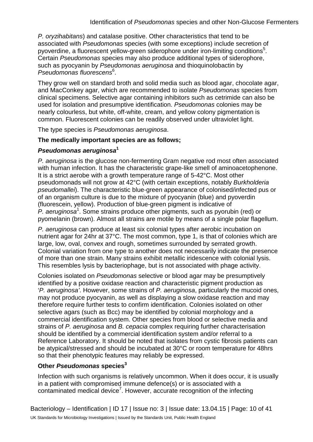*P. oryzihabitans*) and catalase positive. Other characteristics that tend to be associated with *Pseudomonas* species (with some exceptions) include secretion of pyoverdine, a fluorescent yellow-green siderophore under iron-limiting conditions<sup>5</sup>. Certain *Pseudomonas* species may also produce additional types of siderophore, such as pyocyanin by *Pseudomonas aeruginosa* and thioquinolobactin by *Pseudomonas fluorescens*<sup>6</sup> .

They grow well on standard broth and solid media such as blood agar, chocolate agar, and MacConkey agar, which are recommended to isolate *Pseudomonas* species from clinical specimens. Selective agar containing inhibitors such as cetrimide can also be used for isolation and presumptive identification. *Pseudomonas* colonies may be nearly colourless, but white, off-white, cream, and yellow colony pigmentation is common. Fluorescent colonies can be readily observed under ultraviolet light.

The type species is *Pseudomonas aeruginosa*.

#### **The medically important species are as follows;**

#### *Pseudomonas aeruginosa***<sup>1</sup>**

*P. aeruginosa* is the glucose non-fermenting Gram negative rod most often associated with human infection. It has the characteristic grape-like smell of aminoacetophenone. It is a strict aerobe with a growth temperature range of 5-42°C. Most other pseudomonads will not grow at 42°C (with certain exceptions, notably *Burkholderia pseudomallei*). The characteristic blue-green appearance of colonised/infected pus or of an organism culture is due to the mixture of pyocyanin (blue) and pyoverdin (fluorescein, yellow). Production of blue-green pigment is indicative of P. aeruginosa<sup>1</sup>. Some strains produce other pigments, such as pyorubin (red) or pyomelanin (brown). Almost all strains are motile by means of a single polar flagellum.

*P. aeruginosa* can produce at least six colonial types after aerobic incubation on nutrient agar for 24hr at 37°C. The most common, type 1, is that of colonies which are large, low, oval, convex and rough, sometimes surrounded by serrated growth. Colonial variation from one type to another does not necessarily indicate the presence of more than one strain. Many strains exhibit metallic iridescence with colonial lysis. This resembles lysis by bacteriophage, but is not associated with phage activity.

Colonies isolated on *Pseudomonas* selective or blood agar may be presumptively identified by a positive oxidase reaction and characteristic pigment production as '*P. aeruginosa'*. However, some strains of *P. aeruginosa*, particularly the mucoid ones, may not produce pyocyanin, as well as displaying a slow oxidase reaction and may therefore require further tests to confirm identification. Colonies isolated on other selective agars (such as Bcc) may be identified by colonial morphology and a commercial identification system. Other species from blood or selective media and strains of *P. aeruginosa* and *B. cepacia* complex requiring further characterisation should be identified by a commercial identification system and/or referral to a Reference Laboratory. It should be noted that isolates from cystic fibrosis patients can be atypical/stressed and should be incubated at 30°C or room temperature for 48hrs so that their phenotypic features may reliably be expressed.

#### **Other** *Pseudomonas* **species<sup>3</sup>**

Infection with such organisms is relatively uncommon. When it does occur, it is usually in a patient with compromised immune defence(s) or is associated with a contaminated medical device<sup>7</sup>. However, accurate recognition of the infecting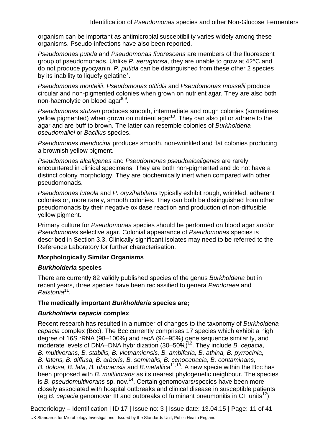organism can be important as antimicrobial susceptibility varies widely among these organisms. Pseudo-infections have also been reported.

*Pseudomonas putida* and *Pseudomonas fluorescens* are members of the fluorescent group of pseudomonads. Unlike *P. aeruginosa,* they are unable to grow at 42°C and do not produce pyocyanin. *P. putida* can be distinguished from these other 2 species by its inability to liquefy gelatine<sup>7</sup>.

*Pseudomonas monteilii*, *Pseudomonas otitidis* and *Pseudomonas mosselii* produce circular and non-pigmented colonies when grown on nutrient agar. They are also both non-haemolytic on blood aga $r^{8,9}$ .

*Pseudomonas stutzeri* produces smooth, intermediate and rough colonies (sometimes yellow pigmented) when grown on nutrient agar<sup>10</sup>. They can also pit or adhere to the agar and are buff to brown. The latter can resemble colonies of *Burkholderia pseudomallei* or *Bacillus* species.

*Pseudomonas mendocina* produces smooth, non-wrinkled and flat colonies producing a brownish yellow pigment.

*Pseudomonas alcaligenes* and *Pseudomonas pseudoalcaligenes* are rarely encountered in clinical specimens. They are both non-pigmented and do not have a distinct colony morphology. They are biochemically inert when compared with other pseudomonads.

*Pseudomonas luteola* and *P. oryzihabitans* typically exhibit rough, wrinkled, adherent colonies or, more rarely, smooth colonies. They can both be distinguished from other pseudomonads by their negative oxidase reaction and production of non-diffusible yellow pigment.

Primary culture for *Pseudomonas* species should be performed on blood agar and/or *Pseudomonas* selective agar. Colonial appearance of *Pseudomonas* species is described in Section 3.3. Clinically significant isolates may need to be referred to the Reference Laboratory for further characterisation.

#### **Morphologically Similar Organisms**

#### *Burkholderia* **species**

There are currently 82 validly published species of the genus *Burkholderia* but in recent years, three species have been reclassified to genera *Pandoraea* and *Ralstonia*11.

#### **The medically important** *Burkholderia* **species are;**

#### *Burkholderia cepacia* **complex**

Recent research has resulted in a number of changes to the taxonomy of *Burkholderia cepacia* complex (Bcc). The Bcc currently comprises 17 species which exhibit a high degree of 16S rRNA (98–100%) and recA (94–95%) gene sequence similarity, and moderate levels of DNA–DNA hybridization (30–50%)<sup>12</sup>. They include *B. cepacia,*  $\frac{1}{2}$ *B. multivorans, B. stabilis, B. vietnamiensis, B. ambifaria, B. athina, B. pyrrocinia, B. latens, B. diffusa, B. arboris, B. seminalis, B. cenocepacia, B. contaminans, B. dolosa, B. lata, B. ubonensis* and *B.metallica*11,13. A new specie within the Bcc has been proposed with *B. multivorans* as its nearest phylogenetic neighbour. The species is *B. pseudomultivorans* sp. nov.14. Certain genomovars/species have been more closely associated with hospital outbreaks and clinical disease in susceptible patients (eg *B. cepacia* genomovar III and outbreaks of fulminant pneumonitis in CF units<sup>12</sup>).

Bacteriology – Identification | ID 17 | Issue no: 3 | Issue date: 13.04.15 | Page: 11 of 41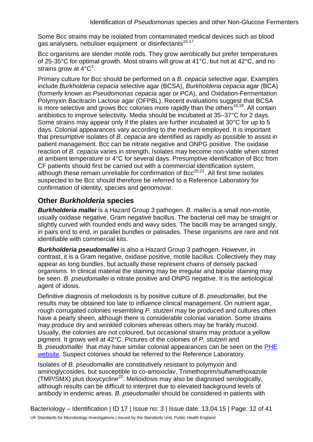Some Bcc strains may be isolated from contaminated medical devices such as blood gas analysers, nebuliser equipment or disinfectants<sup>15-17</sup>.

Bcc organisms are slender motile rods. They grow aerobically but prefer temperatures of 25-35°C for optimal growth. Most strains will grow at 41°C, but not at 42°C, and no strains grow at  $4^{\circ}C^1$ .

Primary culture for Bcc should be performed on a *B. cepacia* selective agar. Examples include *Burkholderia cepacia* selective agar (BCSA), *Burkholderia cepacia* agar (BCA) (formerly known as *Pseudomonas cepacia* agar or PCA), and Oxidation-Fermentation Polymyxin Bacitracin Lactose agar (OFPBL). Recent evaluations suggest that BCSA is more selective and grows Bcc colonies more rapidly than the others<sup>18,19</sup>. All contain antibiotics to improve selectivity. Media should be incubated at 35–37°C for 2 days. Some strains may appear only if the plates are further incubated at 30°C for up to 5 days. Colonial appearances vary according to the medium employed. It is important that presumptive isolates of *B. cepacia* are identified as rapidly as possible to assist in patient management. Bcc can be nitrate negative and ONPG positive. The oxidase reaction of *B. cepacia* varies in strength. Isolates may become non-viable when stored at ambient temperature or 4°C for several days. Presumptive identification of Bcc from CF patients should first be carried out with a commercial identification system, although these remain unreliable for confirmation of  $Bcc^{20,21}$ . All first time isolates suspected to be Bcc should therefore be referred to a Reference Laboratory for confirmation of identity, species and genomovar.

# **Other** *Burkholderia* **species**

*Burkholderia mallei* is a Hazard Group 3 pathogen. *B. mallei* is a small non-motile, usually oxidase negative, Gram negative bacillus. The bacterial cell may be straight or slightly curved with rounded ends and wavy sides. The bacilli may be arranged singly, in pairs end to end, in parallel bundles or palisades. These organisms are rare and not identifiable with commercial kits.

*Burkholderia pseudomallei* is also a Hazard Group 3 pathogen. However, in contrast, it is a Gram negative, oxidase positive, motile bacillus. Collectively they may appear as long bundles, but actually these represent chains of densely packed organisms. In clinical material the staining may be irregular and bipolar staining may be seen. *B. pseudomallei* is nitrate positive and ONPG negative. It is the aetiological agent of idosis.

Definitive diagnosis of melioidosis is by positive culture of *B. pseudomallei*, but the results may be obtained too late to influence clinical management. On nutrient agar, rough corrugated colonies resembling *P. stutzeri* may be produced and cultures often have a pearly sheen, although there is considerable colonial variation. Some strains may produce dry and wrinkled colonies whereas others may be frankly mucoid. Usually, the colonies are not coloured, but occasional strains may produce a yellow pigment. It grows well at 42°C. Pictures of the colonies of *P. stutzeri* and B*. pseudomallei* that may have similar colonial appearances can be seen on the [PHE](https://www.gov.uk/government/collections/deliberate-and-accidental-releases-investigation-and-management) [website.](https://www.gov.uk/government/collections/deliberate-and-accidental-releases-investigation-and-management) Suspect colonies should be referred to the Reference Laboratory.

Isolates of *B. pseudomallei* are constitutively resistant to polymyxin and aminoglycosides, but susceptible to co-amoxiclav, Trimethoprim/sulfamethoxazole (TMP/SMX) plus doxycycline<sup>22</sup>. Melioidosis may also be diagnosed serologically, although results can be difficult to interpret due to elevated background levels of antibody in endemic areas. *B. pseudomallei* should be considered in patients with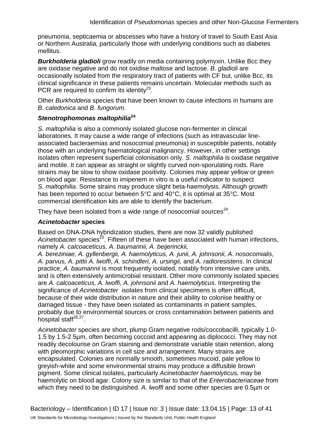pneumonia, septicaemia or abscesses who have a history of travel to South East Asia or Northern Australia, particularly those with underlying conditions such as diabetes mellitus.

*Burkholderia gladioli* grow readily on media containing polymyxin. Unlike Bcc they are oxidase negative and do not oxidise maltose and lactose. *B. gladioli* are occasionally isolated from the respiratory tract of patients with CF but, unlike Bcc, its clinical significance in these patients remains uncertain. Molecular methods such as PCR are required to confirm its identity<sup>23</sup>.

Other *Burkholderia* species that have been known to cause infections in humans are *B. caledonica* and *B. fungorum*.

#### *Stenotrophomonas maltophilia***<sup>24</sup>**

*S. maltophilia* is also a commonly isolated glucose non-fermenter in clinical laboratories. It may cause a wide range of infections (such as intravascular lineassociated bacteraemias and nosocomial pneumonia) in susceptible patients, notably those with an underlying haematological malignancy. However, in other settings isolates often represent superficial colonisation only. *S. maltophilia* is oxidase negative and motile. It can appear as straight or slightly curved non-sporulating rods. Rare strains may be slow to show oxidase positivity. Colonies may appear yellow or green on blood agar. Resistance to imipenem in vitro is a useful indicator to suspect *S. maltophilia*. Some strains may produce slight beta-haemolysis. Although growth has been reported to occur between 5°C and 40°C, it is optimal at 35°C. Most commercial identification kits are able to identify the bacterium.

They have been isolated from a wide range of nosocomial sources $^{24}$ .

#### *Acinetobacter* **species**

Based on DNA-DNA hybridization studies, there are now 32 validly published Acinetobacter species<sup>25</sup>. Fifteen of these have been associated with human infections, namely *A. calcoaceticus, A. baumannii, A. beijerinckii,*

*A. bereziniae, A. gyllenbergii, A. haemolyticus, A. junii, A. johnsonii, A. nosocomialis, A. parvus, A. pittii A. lwoffi*, *A. schindleri, A. ursingii,* and *A. radioresistens*. In clinical practice, *A. baumannii* is most frequently isolated, notably from intensive care units, and is often extensively antimicrobial resistant. Other more commonly isolated species are *A. calcoaceticus, A. lwoffi, A. johnsonii* and *A. haemolyticus*. Interpreting the significance of *Acinetobacter* isolates from clinical specimens is often difficult, because of their wide distribution in nature and their ability to colonise healthy or damaged tissue - they have been isolated as contaminants in patient samples, probably due to environmental sources or cross contamination between patients and hospital staff $^{26,27}$ .

*Acinetobacter* species are short, plump Gram negative rods/coccobacilli, typically 1.0- 1.5 by 1.5-2.5µm, often becoming coccoid and appearing as diplococci. They may not readily decolourise on Gram staining and demonstrate variable stain retention, along with pleomorphic variations in cell size and arrangement. Many strains are encapsulated. Colonies are normally smooth, sometimes mucoid, pale yellow to greyish-white and some environmental strains may produce a diffusible brown pigment. Some clinical isolates, particularly *Acinetobacter haemolyticus,* may be haemolytic on blood agar. Colony size is similar to that of the *Enterobacteriaceae* from which they need to be distinguished. *A. lwoffi* and some other species are 0.5µm or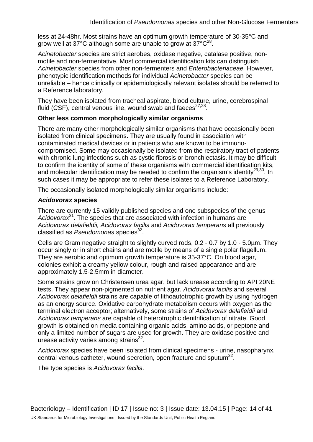less at 24-48hr. Most strains have an optimum growth temperature of 30-35°C and grow well at 37 $^{\circ}$ C although some are unable to grow at 37 $^{\circ}$ C<sup>28</sup>.

*Acinetobacter* species are strict aerobes, oxidase negative, catalase positive, nonmotile and non-fermentative. Most commercial identification kits can distinguish *Acinetobacter* species from other non-fermenters and *Enterobacteriaceae.* However, phenotypic identification methods for individual *Acinetobacter* species can be unreliable – hence clinically or epidemiologically relevant isolates should be referred to a Reference laboratory.

They have been isolated from tracheal aspirate, blood culture, urine, cerebrospinal fluid (CSF), central venous line, wound swab and faeces $27,28$ .

#### **Other less common morphologically similar organisms**

There are many other morphologically similar organisms that have occasionally been isolated from clinical specimens. They are usually found in association with contaminated medical devices or in patients who are known to be immunocompromised. Some may occasionally be isolated from the respiratory tract of patients with chronic lung infections such as cystic fibrosis or bronchiectasis. It may be difficult to confirm the identity of some of these organisms with commercial identification kits, and molecular identification may be needed to confirm the organism's identity $^{29,30}$ . In such cases it may be appropriate to refer these isolates to a Reference Laboratory.

The occasionally isolated morphologically similar organisms include:

#### *Acidovorax* **species**

There are currently 15 validly published species and one subspecies of the genus *Acidovorax*31. The species that are associated with infection in humans are *Acidovorax delafieldii, Acidovorax facilis* and *Acidovorax temperans* all previously classified as *Pseudomonas* species<sup>32</sup>.

Cells are Gram negative straight to slightly curved rods, 0.2 - 0.7 by 1.0 - 5.0µm. They occur singly or in short chains and are motile by means of a single polar flagellum. They are aerobic and optimum growth temperature is 35-37°C. On blood agar, colonies exhibit a creamy yellow colour, rough and raised appearance and are approximately 1.5-2.5mm in diameter.

Some strains grow on Christensen urea agar, but lack urease according to API 20NE tests. They appear non-pigmented on nutrient agar. *Acidovorax facilis* and several *Acidovorax delafieldii* strains are capable of lithoautotrophic growth by using hydrogen as an energy source. Oxidative carbohydrate metabolism occurs with oxygen as the terminal electron acceptor; alternatively, some strains of *Acidovorax delafieldii* and *Acidovorax temperans* are capable of heterotrophic denitrification of nitrate. Good growth is obtained on media containing organic acids, amino acids, or peptone and only a limited number of sugars are used for growth. They are oxidase positive and urease activity varies among strains $32$ .

*Acidovorax* species have been isolated from clinical specimens - urine, nasopharynx, central venous catheter, wound secretion, open fracture and sputum<sup>32</sup>.

The type species is *Acidovorax facilis*.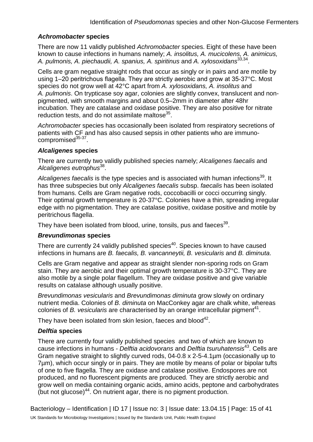#### *Achromobacter* **species**

There are now 11 validly published *Achromobacter* species. Eight of these have been known to cause infections in humans namely; *A. insolitus, A. mucicolens, A. animicus, A. pulmonis, A. piechaudii, A. spanius, A. spiritinus* and *A. xylosoxidans*33,34.

Cells are gram negative straight rods that occur as singly or in pairs and are motile by using 1–20 peritrichous flagella. They are strictly aerobic and grow at 35-37°C. Most species do not grow well at 42°C apart from *A. xylosoxidans, A. insolitus* and *A. pulmonis*. On trypticase soy agar, colonies are slightly convex, translucent and nonpigmented, with smooth margins and about 0.5–2mm in diameter after 48hr incubation. They are catalase and oxidase positive. They are also positive for nitrate reduction tests, and do not assimilate maltose<sup>35</sup>.

*Achromobacter* species has occasionally been isolated from respiratory secretions of patients with CF and has also caused sepsis in other patients who are immunocompromised $35-37$ .

#### *Alcaligenes* **species**

There are currently two validly published species namely; *Alcaligenes faecalis* and *Alcaligenes eutrophus*38.

Alcaligenes faecalis is the type species and is associated with human infections<sup>39</sup>. It has three subspecies but only *Alcaligenes faecalis* subsp. *faecalis* has been isolated from humans. Cells are Gram negative rods, coccobacilli or cocci occurring singly. Their optimal growth temperature is 20-37°C. Colonies have a thin, spreading irregular edge with no pigmentation. They are catalase positive, oxidase positive and motile by peritrichous flagella.

They have been isolated from blood, urine, tonsils, pus and faeces<sup>39</sup>.

#### *Brevundimonas* **species**

There are currently 24 validly published species<sup>40</sup>. Species known to have caused infections in humans are *B. faecalis, B. vancanneytii, B. vesicularis* and *B. diminuta*.

Cells are Gram negative and appear as straight slender non-sporing rods on Gram stain. They are aerobic and their optimal growth temperature is 30-37°C. They are also motile by a single polar flagellum. They are oxidase positive and give variable results on catalase although usually positive.

*Brevundimonas vesicularis* and *Brevundimonas diminuta* grow slowly on ordinary nutrient media. Colonies of *B. diminuta* on MacConkey agar are chalk white, whereas colonies of *B. vesicularis* are characterised by an orange intracellular pigment<sup>41</sup>.

They have been isolated from skin lesion, faeces and blood $42$ .

#### *Delftia* **species**

There are currently four validly published species and two of which are known to cause infections in humans *- Delftia acidovorans* and *Delftia tsuruhatensis*43. Cells are Gram negative straight to slightly curved rods, 04-0.8 x 2-5-4.1µm (occasionally up to 7µm), which occur singly or in pairs. They are motile by means of polar or bipolar tufts of one to five flagella. They are oxidase and catalase positive. Endospores are not produced, and no fluorescent pigments are produced*.* They are strictly aerobic and grow well on media containing organic acids, amino acids, peptone and carbohydrates  $($ but not glucose $)$ <sup>44</sup>. On nutrient agar, there is no pigment production.

Bacteriology – Identification | ID 17 | Issue no: 3 | Issue date: 13.04.15 | Page: 15 of 41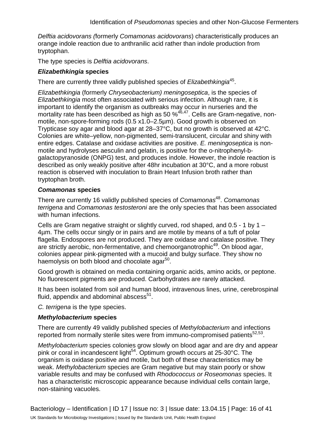*Delftia acidovorans (*formerly *Comamonas acidovorans*) characteristically produces an orange indole reaction due to anthranilic acid rather than indole production from tryptophan.

The type species is *Delftia acidovorans*.

#### *Elizabethkingia* **species**

There are currently three validly published species of *Elizabethkingia*45.

*Elizabethkingia* (formerly *Chryseobacterium) meningoseptica*, is the species of *Elizabethkingia* most often associated with serious infection. Although rare, it is important to identify the organism as outbreaks may occur in nurseries and the miportality rate has been described as high as 50 %<sup>46,47</sup>. Cells are Gram-negative, nonmotile, non-spore-forming rods (0.5 x1.0–2.5µm). Good growth is observed on Trypticase soy agar and blood agar at 28–37°C, but no growth is observed at 42°C. Colonies are white–yellow, non-pigmented, semi-translucent, circular and shiny with entire edges. Catalase and oxidase activities are positive. *E. meningoseptica* is nonmotile and hydrolyses aesculin and gelatin, is positive for the o-nitrophenyl-bgalactopyranoside (ONPG) test, and produces indole. However, the indole reaction is described as only weakly positive after 48hr incubation at 30°C, and a more robust reaction is observed with inoculation to Brain Heart Infusion broth rather than tryptophan broth.

#### *Comamonas* **species**

There are currently 16 validly published species of *Comamonas*48. *Comamonas terrigena* and *Comamonas testosteroni* are the only species that has been associated with human infections.

Cells are Gram negative straight or slightly curved, rod shaped, and 0.5 - 1 by 1 – 4µm. The cells occur singly or in pairs and are motile by means of a tuft of polar flagella. Endospores are not produced. They are oxidase and catalase positive. They are strictly aerobic, non-fermentative, and chemoorganotrophic<sup>49</sup>. On blood agar, colonies appear pink-pigmented with a mucoid and bulgy surface. They show no haemolysis on both blood and chocolate agar<sup>50</sup>.

Good growth is obtained on media containing organic acids, amino acids, or peptone. No fluorescent pigments are produced. Carbohydrates are rarely attacked.

It has been isolated from soil and human blood, intravenous lines, urine, cerebrospinal fluid, appendix and abdominal abscess $51$ .

*C. terrigena* is the type species.

#### *Methylobacterium* **species**

There are currently 49 validly published species of *Methylobacterium* and infections reported from normally sterile sites were from immuno-compromised patients $52,53$ .

*Methylobacterium* species colonies grow slowly on blood agar and are dry and appear pink or coral in incandescent light<sup>54</sup>. Optimum growth occurs at 25-30°C. The organism is oxidase positive and motile, but both of these characteristics may be weak. *Methylobacterium* species are Gram negative but may stain poorly or show variable results and may be confused with *Rhodococcus or Roseomonas* species. It has a characteristic microscopic appearance because individual cells contain large, non-staining vacuoles.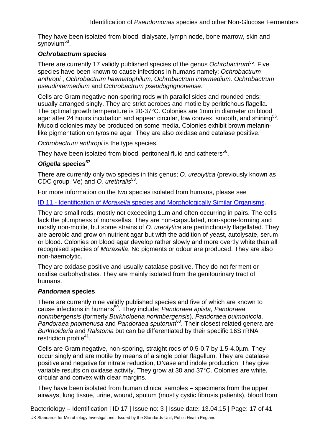They have been isolated from blood, dialysate, lymph node, bone marrow, skin and synovium $53$ .

#### *Ochrobactrum* **species**

There are currently 17 validly published species of the genus *Ochrobactrum*55. Five species have been known to cause infections in humans namely; *Ochrobactrum anthropi* , *Ochrobactrum haematophilum, Ochrobactrum intermedium, Ochrobactrum pseudintermedium* and *Ochrobactrum pseudogrignonense*.

Cells are Gram negative non-sporing rods with parallel sides and rounded ends; usually arranged singly. They are strict aerobes and motile by peritrichous flagella. The optimal growth temperature is 20-37°C. Colonies are 1mm in diameter on blood agar after 24 hours incubation and appear circular, low convex, smooth, and shining<sup>56</sup>. Mucoid colonies may be produced on some media. Colonies exhibit brown melaninlike pigmentation on tyrosine agar. They are also oxidase and catalase positive.

*Ochrobactrum anthropi* is the type species.

They have been isolated from blood, peritoneal fluid and catheters<sup>56</sup>.

#### *Oligella* **species<sup>57</sup>**

There are currently only two species in this genus; *O. ureolytica* (previously known as CDC group IVe) and *O. urethralis*58.

For more information on the two species isolated from humans, please see

ID 11 - Identification of *Moraxella* [species and Morphologically Similar Organisms.](https://www.gov.uk/government/collections/standards-for-microbiology-investigations-smi#identification)

They are small rods, mostly not exceeding 1µm and often occurring in pairs. The cells lack the plumpness of moraxellas. They are non-capsulated, non-spore-forming and mostly non-motile, but some strains of *O. ureolytica* are peritrichously flagellated. They are aerobic and grow on nutrient agar but with the addition of yeast, autolysate, serum or blood. Colonies on blood agar develop rather slowly and more overtly white than all recognised species of *Moraxella*. No pigments or odour are produced. They are also non-haemolytic.

They are oxidase positive and usually catalase positive. They do not ferment or oxidise carbohydrates. They are mainly isolated from the genitourinary tract of humans.

#### *Pandoraea* **species**

There are currently nine validly published species and five of which are known to cause infections in humans59. They include; *Pandoraea apista, Pandoraea norimbergensis* (formerly *Burkholderia norimbergensis*)*, Pandoraea pulmonicola,*  Pandoraea pnomenusa and Pandoraea sputorum<sup>60</sup>. Their closest related genera are *Burkholderia* and *Ralstonia* but can be differentiated by their specific 16S rRNA restriction profile<sup>41</sup>.

Cells are Gram negative, non-sporing, straight rods of 0.5-0.7 by 1.5-4.0µm. They occur singly and are motile by means of a single polar flagellum. They are catalase positive and negative for nitrate reduction, DNase and indole production. They give variable results on oxidase activity. They grow at 30 and 37°C. Colonies are white, circular and convex with clear margins.

They have been isolated from human clinical samples – specimens from the upper airways, lung tissue, urine, wound, sputum (mostly cystic fibrosis patients), blood from

Bacteriology – Identification | ID 17 | Issue no: 3 | Issue date: 13.04.15 | Page: 17 of 41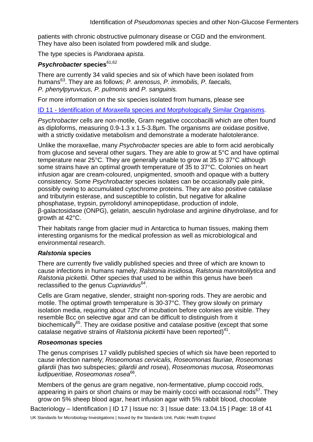patients with chronic obstructive pulmonary disease or CGD and the environment. They have also been isolated from powdered milk and sludge.

The type species is *Pandoraea apista*.

#### *Psychrobacter* **species**61,62

There are currently 34 valid species and six of which have been isolated from humans63. They are as follows; *P. arenosus, P. immobilis, P. faecalis, P. phenylpyruvicus, P. pulmonis* and *P. sanguinis.* 

For more information on the six species isolated from humans, please see

ID 11 - Identification of *Moraxella* [species and Morphologically Similar Organisms.](https://www.gov.uk/government/collections/standards-for-microbiology-investigations-smi#identification)

*Psychrobacter* cells are non-motile, Gram negative coccobacilli which are often found as diploforms, measuring 0.9-1.3 x 1.5-3.8µm. The organisms are oxidase positive, with a strictly oxidative metabolism and demonstrate a moderate halotolerance.

Unlike the moraxellae, many *Psychrobacter* species are able to form acid aerobically from glucose and several other sugars. They are able to grow at 5°C and have optimal temperature near 25°C. They are generally unable to grow at 35 to 37°C although some strains have an optimal growth temperature of 35 to 37°C. Colonies on heart infusion agar are cream-coloured, unpigmented, smooth and opaque with a buttery consistency. Some *Psychrobacter* species isolates can be occasionally pale pink, possibly owing to accumulated cytochrome proteins. They are also positive catalase and tributyrin esterase, and susceptible to colistin, but negative for alkaline phosphatase, trypsin, pyrrolidonyl aminopeptidase, production of indole, β-galactosidase (ONPG), gelatin, aesculin hydrolase and arginine dihydrolase, and for growth at 42°C.

Their habitats range from glacier mud in Antarctica to human tissues, making them interesting organisms for the medical profession as well as microbiological and environmental research.

#### *Ralstonia* **species**

There are currently five validly published species and three of which are known to cause infections in humans namely; *Ralstonia insidiosa, Ralstonia mannitolilytica* and *Ralstonia pickettii*. Other species that used to be within this genus have been reclassified to the genus *Cupriavidus*64.

Cells are Gram negative, slender, straight non-sporing rods. They are aerobic and motile. The optimal growth temperature is 30-37°C. They grow slowly on primary isolation media, requiring about 72hr of incubation before colonies are visible. They resemble Bcc on selective agar and can be difficult to distinguish from it biochemically<sup>65</sup>. They are oxidase positive and catalase positive (except that some catalase negative strains of *Ralstonia pickettii* have been reported)<sup>41</sup>.

#### *Roseomonas* **species**

The genus comprises 17 validly published species of which six have been reported to cause infection namely; *Roseomonas cervicalis, Roseomonas fauriae, Roseomonas gilardii* (has two subspecies; *gilardii and rosea*), *Roseomonas mucosa, Roseomonas ludipueritiae, Roseomonas rosea*66.

Members of the genus are gram negative, non-fermentative, plump coccoid rods, appearing in pairs or short chains or may be mainly cocci with occasional rods<sup>67</sup>. They grow on 5% sheep blood agar, heart infusion agar with 5% rabbit blood, chocolate

Bacteriology – Identification | ID 17 | Issue no: 3 | Issue date: 13.04.15 | Page: 18 of 41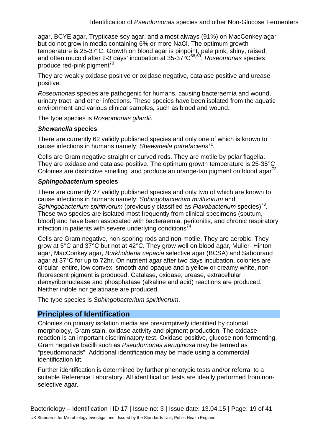agar, BCYE agar, Trypticase soy agar, and almost always (91%) on MacConkey agar but do not grow in media containing 6% or more NaCl. The optimum growth temperature is 25-37°C. Growth on blood agar is pinpoint, pale pink, shiny, raised, and often mucoid after 2-3 days' incubation at 35-37°C68,69. *Roseomonas* species produce red-pink pigment<sup>70</sup>.

They are weakly oxidase positive or oxidase negative, catalase positive and urease positive.

*Roseomonas* species are pathogenic for humans, causing bacteraemia and wound, urinary tract, and other infections. These species have been isolated from the aquatic environment and various clinical samples, such as blood and wound.

The type species is *Roseomonas gilardii*.

#### *Shewanella* **species**

There are currently 62 validly published species and only one of which is known to cause infections in humans namely; *Shewanella putrefaciens*<sup>71</sup>*.*

Cells are Gram negative straight or curved rods. They are motile by polar flagella. They are oxidase and catalase positive. The optimum growth temperature is 25-35°C Colonies are distinctive smelling and produce an orange-tan pigment on blood agar<sup>72</sup>.

#### *Sphingobacterium* **species**

There are currently 27 validly published species and only two of which are known to cause infections in humans namely; *Sphingobacterium multivorum* and *Sphingobacterium spiritivorum* (previously classified as *Flavobacterium* species)73. These two species are isolated most frequently from clinical specimens (sputum, blood) and have been associated with bacteraemia, peritonitis, and chronic respiratory infection in patients with severe underlying conditions<sup>74</sup>.

Cells are Gram negative, non-sporing rods and non-motile. They are aerobic. They grow at 5°C and 37°C but not at 42°C. They grow well on blood agar, Muller- Hinton agar, MacConkey agar, *Burkholderia cepacia* selective agar (BCSA) and Sabouraud agar at 37°C for up to 72hr. On nutrient agar after two days incubation, colonies are circular, entire, low convex, smooth and opaque and a yellow or creamy white, nonfluorescent pigment is produced. Catalase, oxidase, urease, extracellular deoxyribonuclease and phosphatase (alkaline and acid) reactions are produced. Neither indole nor gelatinase are produced.

The type species is *Sphingobacterium spiritivorum*.

# **Principles of Identification**

Colonies on primary isolation media are presumptively identified by colonial morphology, Gram stain, oxidase activity and pigment production. The oxidase reaction is an important discriminatory test. Oxidase positive, glucose non-fermenting, Gram negative bacilli such as *Pseudomonas aeruginosa* may be termed as "pseudomonads". Additional identification may be made using a commercial identification kit.

Further identification is determined by further phenotypic tests and/or referral to a suitable Reference Laboratory. All identification tests are ideally performed from nonselective agar.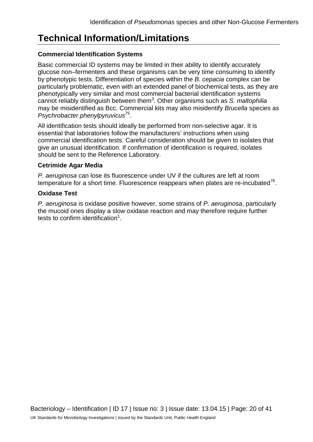# **Technical Information/Limitations**

#### **Commercial Identification Systems**

Basic commercial ID systems may be limited in their ability to identify accurately glucose non–fermenters and these organisms can be very time consuming to identify by phenotypic tests. Differentiation of species within the *B. cepacia* complex can be particularly problematic, even with an extended panel of biochemical tests, as they are phenotypically very similar and most commercial bacterial identification systems cannot reliably distinguish between them<sup>3</sup> . Other organisms such as *S. maltophilia* may be misidentified as Bcc. Commercial kits may also misidentify *Brucella* species as *Psychrobacter phenylpyruvicus*75.

All identification tests should ideally be performed from non-selective agar. It is essential that laboratories follow the manufacturers' instructions when using commercial identification tests. Careful consideration should be given to isolates that give an unusual identification. If confirmation of identification is required, isolates should be sent to the Reference Laboratory.

#### **Cetrimide Agar Media**

*P. aeruginosa* can lose its fluorescence under UV if the cultures are left at room temperature for a short time. Fluorescence reappears when plates are re-incubated $76$ .

#### **Oxidase Test**

*P. aeruginosa* is oxidase positive however, some strains of *P. aeruginosa*, particularly the mucoid ones display a slow oxidase reaction and may therefore require further tests to confirm identification $1$ .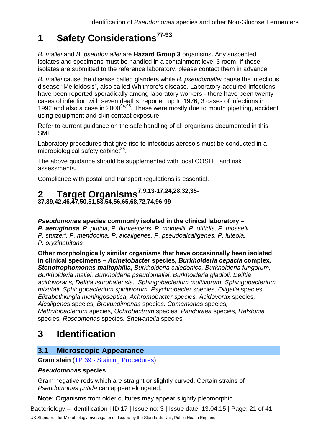# **1 Safety Considerations77-93**

*B. mallei* and *B. pseudomallei* are **Hazard Group 3** organisms. Any suspected isolates and specimens must be handled in a containment level 3 room. If these isolates are submitted to the reference laboratory, please contact them in advance.

*B. mallei* cause the disease called glanders while *B. pseudomallei* cause the infectious disease "Melioidosis", also called Whitmore's disease. Laboratory-acquired infections have been reported sporadically among laboratory workers - there have been twenty cases of infection with seven deaths, reported up to 1976, 3 cases of infections in 1992 and also a case in 2000<sup>94,95</sup>. These were mostly due to mouth pipetting, accident using equipment and skin contact exposure.

Refer to current guidance on the safe handling of all organisms documented in this SMI.

Laboratory procedures that give rise to infectious aerosols must be conducted in a microbiological safety cabinet $85$ .

The above guidance should be supplemented with local COSHH and risk assessments.

Compliance with postal and transport regulations is essential.

# **2 Target Organisms7,9,13-17,24,28,32,35-**

**37,39,42,46,47,50,51,53,54,56,65,68,72,74,96-99**

## *Pseudomonas* **species commonly isolated in the clinical laboratory** –

*P. aeruginosa, P. putida, P. fluorescens, P. monteilii, P. otitidis, P. mosselii, P. stutzeri, P. mendocina, P. alcaligenes, P. pseudoalcaligenes, P. luteola, P. oryzihabitans*

**Other morphologically similar organisms that have occasionally been isolated in clinical specimens** *– Acinetobacter* **species***, Burkholderia cepacia* **complex***, Stenotrophomonas maltophilia, Burkholderia caledonica, Burkholderia fungorum, Burkholderia mallei, Burkholderia pseudomallei, Burkholderia gladioli, Delftia* 

*acidovorans, Delftia tsuruhatensis, Sphingobacterium multivorum, Sphingobacterium mizutaii, Sphingobacterium spiritivorum, Psychrobacter* species*, Oligella* species*, Elizabethkingia meningoseptica, Achromobacter species, Acidovorax* species*, Alcaligenes* species*, Brevundimonas* specie*s, Comamonas* species*, Methylobacterium* species*, Ochrobactrum* species, *Pandoraea* species*, Ralstonia*  species*, Roseomonas* species*, Shewanella* species

# **3 Identification**

# **3.1 Microscopic Appearance**

**Gram stain** (TP 39 - [Staining Procedures\)](https://www.gov.uk/government/collections/standards-for-microbiology-investigations-smi#test-procedures)

## *Pseudomonas* **species**

Gram negative rods which are straight or slightly curved. Certain strains of *Pseudomonas putida* can appear elongated.

**Note:** Organisms from older cultures may appear slightly pleomorphic.

Bacteriology – Identification | ID 17 | Issue no: 3 | Issue date: 13.04.15 | Page: 21 of 41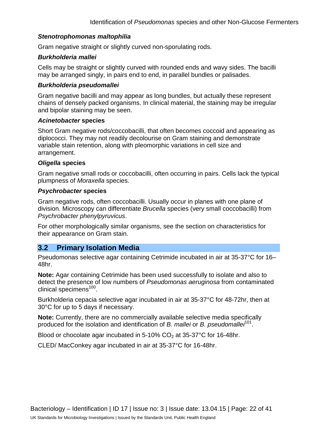#### *Stenotrophomonas maltophilia*

Gram negative straight or slightly curved non-sporulating rods.

#### *Burkholderia mallei*

Cells may be straight or slightly curved with rounded ends and wavy sides. The bacilli may be arranged singly, in pairs end to end, in parallel bundles or palisades.

#### *Burkholderia pseudomallei*

Gram negative bacilli and may appear as long bundles, but actually these represent chains of densely packed organisms. In clinical material, the staining may be irregular and bipolar staining may be seen.

#### *Acinetobacter* **species**

Short Gram negative rods/coccobacilli, that often becomes coccoid and appearing as diplococci. They may not readily decolourise on Gram staining and demonstrate variable stain retention, along with pleomorphic variations in cell size and arrangement.

#### *Oligella* **species**

Gram negative small rods or coccobacilli, often occurring in pairs. Cells lack the typical plumpness of *Moraxella* species.

#### *Psychrobacter* **species**

Gram negative rods, often coccobacilli. Usually occur in planes with one plane of division. Microscopy can differentiate *Brucella* species (very small coccobacilli) from *Psychrobacter phenylpyruvicus*.

For other morphologically similar organisms, see the section on characteristics for their appearance on Gram stain.

## **3.2 Primary Isolation Media**

Pseudomonas selective agar containing Cetrimide incubated in air at 35-37°C for 16– 48hr.

**Note:** Agar containing Cetrimide has been used successfully to isolate and also to detect the presence of low numbers of *Pseudomonas aeruginosa* from contaminated clinical specimens<sup>100</sup>.

Burkholderia cepacia selective agar incubated in air at 35-37°C for 48-72hr, then at 30°C for up to 5 days if necessary.

**Note:** Currently, there are no commercially available selective media specifically produced for the isolation and identification of *B. mallei* or *B. pseudomallei*101.

Blood or chocolate agar incubated in  $5-10\%$  CO<sub>2</sub> at 35-37°C for 16-48hr.

CLED/ MacConkey agar incubated in air at 35-37°C for 16-48hr.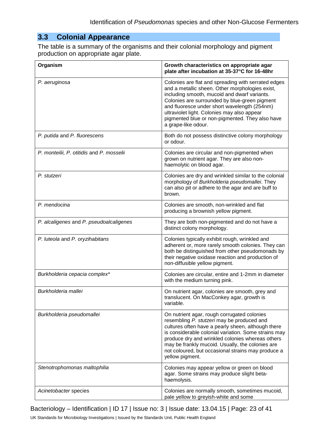# **3.3 Colonial Appearance**

The table is a summary of the organisms and their colonial morphology and pigment production on appropriate agar plate.

| Organism                                  | Growth characteristics on appropriate agar<br>plate after incubation at 35-37°C for 16-48hr                                                                                                                                                                                                                                                                                              |
|-------------------------------------------|------------------------------------------------------------------------------------------------------------------------------------------------------------------------------------------------------------------------------------------------------------------------------------------------------------------------------------------------------------------------------------------|
| P. aeruginosa                             | Colonies are flat and spreading with serrated edges<br>and a metallic sheen. Other morphologies exist,<br>including smooth, mucoid and dwarf variants.<br>Colonies are surrounded by blue-green pigment<br>and fluoresce under short wavelength (254nm)<br>ultraviolet light. Colonies may also appear<br>pigmented blue or non-pigmented. They also have<br>a grape-like odour.         |
| P. putida and P. fluorescens              | Both do not possess distinctive colony morphology<br>or odour.                                                                                                                                                                                                                                                                                                                           |
| P. monteilii, P. otitidis and P. mosselii | Colonies are circular and non-pigmented when<br>grown on nutrient agar. They are also non-<br>haemolytic on blood agar.                                                                                                                                                                                                                                                                  |
| P. stutzeri                               | Colonies are dry and wrinkled similar to the colonial<br>morphology of Burkholderia pseudomallei. They<br>can also pit or adhere to the agar and are buff to<br>brown.                                                                                                                                                                                                                   |
| P. mendocina                              | Colonies are smooth, non-wrinkled and flat<br>producing a brownish yellow pigment.                                                                                                                                                                                                                                                                                                       |
| P. alcaligenes and P. pseudoalcaligenes   | They are both non-pigmented and do not have a<br>distinct colony morphology.                                                                                                                                                                                                                                                                                                             |
| P. luteola and P. oryzihabitans           | Colonies typically exhibit rough, wrinkled and<br>adherent or, more rarely smooth colonies. They can<br>both be distinguished from other pseudomonads by<br>their negative oxidase reaction and production of<br>non-diffusible yellow pigment.                                                                                                                                          |
| Burkholderia cepacia complex*             | Colonies are circular, entire and 1-2mm in diameter<br>with the medium turning pink.                                                                                                                                                                                                                                                                                                     |
| Burkholderia mallei                       | On nutrient agar, colonies are smooth, grey and<br>translucent. On MacConkey agar, growth is<br>variable.                                                                                                                                                                                                                                                                                |
| Burkholderia pseudomallei                 | On nutrient agar, rough corrugated colonies<br>resembling P. stutzeri may be produced and<br>cultures often have a pearly sheen, although there<br>is considerable colonial variation. Some strains may<br>produce dry and wrinkled colonies whereas others<br>may be frankly mucoid. Usually, the colonies are<br>not coloured, but occasional strains may produce a<br>yellow pigment. |
| Stenotrophomonas maltophilia              | Colonies may appear yellow or green on blood<br>agar. Some strains may produce slight beta-<br>haemolysis.                                                                                                                                                                                                                                                                               |
| Acinetobacter species                     | Colonies are normally smooth, sometimes mucoid,<br>pale yellow to greyish-white and some                                                                                                                                                                                                                                                                                                 |

Bacteriology – Identification | ID 17 | Issue no: 3 | Issue date: 13.04.15 | Page: 23 of 41

UK Standards for Microbiology Investigations | Issued by the Standards Unit, Public Health England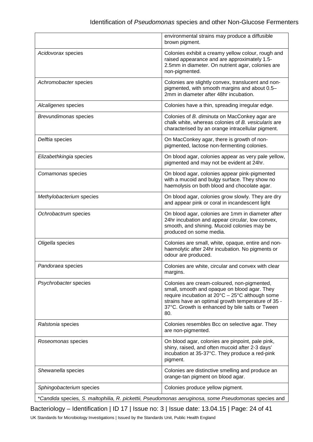|                          | environmental strains may produce a diffusible<br>brown pigment.                                                                                                                                                                                               |
|--------------------------|----------------------------------------------------------------------------------------------------------------------------------------------------------------------------------------------------------------------------------------------------------------|
| Acidovorax species       | Colonies exhibit a creamy yellow colour, rough and<br>raised appearance and are approximately 1.5-<br>2.5mm in diameter. On nutrient agar, colonies are<br>non-pigmented.                                                                                      |
| Achromobacter species    | Colonies are slightly convex, translucent and non-<br>pigmented, with smooth margins and about 0.5-<br>2mm in diameter after 48hr incubation.                                                                                                                  |
| Alcaligenes species      | Colonies have a thin, spreading irregular edge.                                                                                                                                                                                                                |
| Brevundimonas species    | Colonies of B. diminuta on MacConkey agar are<br>chalk white, whereas colonies of B. vesicularis are<br>characterised by an orange intracellular pigment.                                                                                                      |
| Delftia species          | On MacConkey agar, there is growth of non-<br>pigmented, lactose non-fermenting colonies.                                                                                                                                                                      |
| Elizabethkingia species  | On blood agar, colonies appear as very pale yellow,<br>pigmented and may not be evident at 24hr.                                                                                                                                                               |
| Comamonas species        | On blood agar, colonies appear pink-pigmented<br>with a mucoid and bulgy surface. They show no<br>haemolysis on both blood and chocolate agar.                                                                                                                 |
| Methylobacterium species | On blood agar, colonies grow slowly. They are dry<br>and appear pink or coral in incandescent light                                                                                                                                                            |
| Ochrobactrum species     | On blood agar, colonies are 1mm in diameter after<br>24hr incubation and appear circular, low convex,<br>smooth, and shining. Mucoid colonies may be<br>produced on some media.                                                                                |
| Oligella species         | Colonies are small, white, opaque, entire and non-<br>haemolytic after 24hr incubation. No pigments or<br>odour are produced.                                                                                                                                  |
| Pandoraea species        | Colonies are white, circular and convex with clear<br>margins.                                                                                                                                                                                                 |
| Psychrobacter species    | Colonies are cream-coloured, non-pigmented,<br>small, smooth and opaque on blood agar. They<br>require incubation at 20°C - 25°C although some<br>strains have an optimal growth temperature of 35 -<br>37°C. Growth is enhanced by bile salts or Tween<br>80. |
| Ralstonia species        | Colonies resembles Bcc on selective agar. They<br>are non-pigmented.                                                                                                                                                                                           |
| Roseomonas species       | On blood agar, colonies are pinpoint, pale pink,<br>shiny, raised, and often mucoid after 2-3 days'<br>incubation at 35-37°C. They produce a red-pink<br>pigment.                                                                                              |
| Shewanella species       | Colonies are distinctive smelling and produce an<br>orange-tan pigment on blood agar.                                                                                                                                                                          |
| Sphingobacterium species | Colonies produce yellow pigment.                                                                                                                                                                                                                               |
|                          | *Candida species, S. maltophilia, R. pickettii, Pseudomonas aeruginosa, some Pseudomonas species and                                                                                                                                                           |

Bacteriology – Identification | ID 17 | Issue no: 3 | Issue date: 13.04.15 | Page: 24 of 41

UK Standards for Microbiology Investigations | Issued by the Standards Unit, Public Health England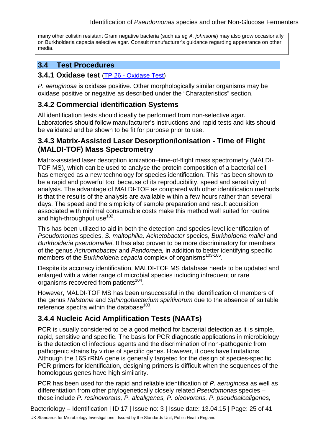many other colistin resistant Gram negative bacteria (such as eg *A. johnsonii*) may also grow occasionally on Burkholderia cepacia selective agar. Consult manufacturer's guidance regarding appearance on other media.

# **3.4 Test Procedures**

## **3.4.1 Oxidase test** (TP 26 - [Oxidase Test\)](https://www.gov.uk/government/collections/standards-for-microbiology-investigations-smi#test-procedures)

*P. aeruginosa* is oxidase positive. Other morphologically similar organisms may be oxidase positive or negative as described under the "Characteristics" section.

# **3.4.2 Commercial identification Systems**

All identification tests should ideally be performed from non-selective agar. Laboratories should follow manufacturer's instructions and rapid tests and kits should be validated and be shown to be fit for purpose prior to use.

# **3.4.3 Matrix-Assisted Laser Desorption/Ionisation - Time of Flight (MALDI-TOF) Mass Spectrometry**

Matrix-assisted laser desorption ionization–time-of-flight mass spectrometry (MALDI-TOF MS), which can be used to analyse the protein composition of a bacterial cell, has emerged as a new technology for species identification. This has been shown to be a rapid and powerful tool because of its reproducibility, speed and sensitivity of analysis. The advantage of MALDI-TOF as compared with other identification methods is that the results of the analysis are available within a few hours rather than several days. The speed and the simplicity of sample preparation and result acquisition associated with minimal consumable costs make this method well suited for routine and high-throughput use<sup>102</sup>.

This has been utilized to aid in both the detection and species-level identification of *Pseudomonas* species, *S. maltophilia, Acinetobacter* species, *Burkholderia mallei* and *Burkholderia pseudomallei*. It has also proven to be more discriminatory for members of the genus *Achromobacter* and *Pandoraea,* in addition to better identifying specific members of the *Burkholderia cepacia* complex of organisms<sup>103-105</sup>.

Despite its accuracy identification, MALDI-TOF MS database needs to be updated and enlarged with a wider range of microbial species including infrequent or rare organisms recovered from patients<sup>104</sup>.

However, MALDI-TOF MS has been unsuccessful in the identification of members of the genus *Ralstonia* and *Sphingobacterium spiritivorum* due to the absence of suitable reference spectra within the database $^{103}$ .

# **3.4.4 Nucleic Acid Amplification Tests (NAATs)**

PCR is usually considered to be a good method for bacterial detection as it is simple, rapid, sensitive and specific. The basis for PCR diagnostic applications in microbiology is the detection of infectious agents and the discrimination of non-pathogenic from pathogenic strains by virtue of specific genes. However, it does have limitations. Although the 16S rRNA gene is generally targeted for the design of species-specific PCR primers for identification, designing primers is difficult when the sequences of the homologous genes have high similarity.

PCR has been used for the rapid and reliable identification of *P. aeruginosa* as well as differentiation from other phylogenetically closely related *Pseudomonas* species – these include *P. resinovorans, P. alcaligenes, P. oleovorans, P. pseudoalcaligenes,* 

Bacteriology – Identification | ID 17 | Issue no: 3 | Issue date: 13.04.15 | Page: 25 of 41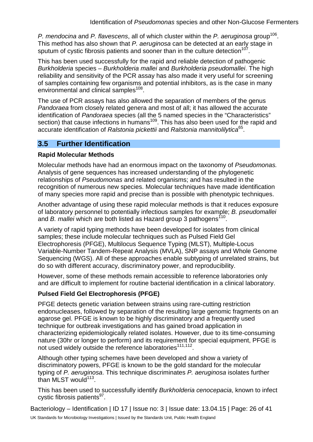*P. mendocina* and *P. flavescens*, all of which cluster within the *P. aeruginosa* group<sup>106</sup>. This method has also shown that *P. aeruginosa* can be detected at an early stage in sputum of cystic fibrosis patients and sooner than in the culture detection<sup>107</sup>.

This has been used successfully for the rapid and reliable detection of pathogenic *Burkholderia* species – *Burkholderia mallei* and *Burkholderia pseudomallei*. The high reliability and sensitivity of the PCR assay has also made it very useful for screening of samples containing few organisms and potential inhibitors, as is the case in many environmental and clinical samples<sup>108</sup>.

The use of PCR assays has also allowed the separation of members of the genus *Pandoraea* from closely related genera and most of all; it has allowed the accurate identification of *Pandoraea* species (all the 5 named species in the "Characteristics" section) that cause infections in humans<sup>109</sup>. This has also been used for the rapid and accurate identification of *Ralstonia pickettii* and *Ralstonia mannitolilytica*65.

# **3.5 Further Identification**

#### **Rapid Molecular Methods**

Molecular methods have had an enormous impact on the taxonomy of *Pseudomonas.* Analysis of gene sequences has increased understanding of the phylogenetic relationships of *Pseudomonas* and related organisms; and has resulted in the recognition of numerous new species. Molecular techniques have made identification of many species more rapid and precise than is possible with phenotypic techniques.

Another advantage of using these rapid molecular methods is that it reduces exposure of laboratory personnel to potentially infectious samples for example; *B. pseudomallei* and *B. mallei* which are both listed as Hazard group 3 pathogens<sup>110</sup>.

A variety of rapid typing methods have been developed for isolates from clinical samples; these include molecular techniques such as Pulsed Field Gel Electrophoresis (PFGE), Multilocus Sequence Typing (MLST), Multiple-Locus Variable-Number Tandem-Repeat Analysis (MVLA), SNP assays and Whole Genome Sequencing (WGS). All of these approaches enable subtyping of unrelated strains, but do so with different accuracy, discriminatory power, and reproducibility.

However, some of these methods remain accessible to reference laboratories only and are difficult to implement for routine bacterial identification in a clinical laboratory.

## **Pulsed Field Gel Electrophoresis (PFGE)**

PFGE detects genetic variation between strains using rare-cutting restriction endonucleases, followed by separation of the resulting large genomic fragments on an agarose gel. PFGE is known to be highly discriminatory and a frequently used technique for outbreak investigations and has gained broad application in characterizing epidemiologically related isolates. However, due to its time-consuming nature (30hr or longer to perform) and its requirement for special equipment, PFGE is not used widely outside the reference laboratories<sup>111,112</sup>.

Although other typing schemes have been developed and show a variety of discriminatory powers, PFGE is known to be the gold standard for the molecular typing of *P. aeruginosa*. This technique discriminates *P. aeruginosa* isolates further than MLST would $113$ .

This has been used to successfully identify *Burkholderia cenocepacia*, known to infect cystic fibrosis patients<sup>97</sup>.

Bacteriology – Identification | ID 17 | Issue no: 3 | Issue date: 13.04.15 | Page: 26 of 41 UK Standards for Microbiology Investigations | Issued by the Standards Unit, Public Health England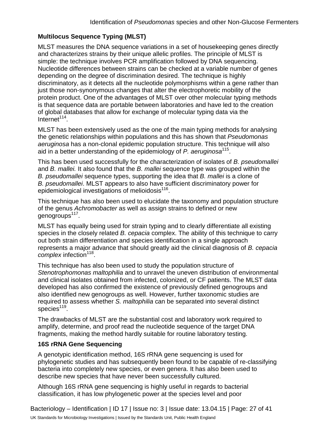## **Multilocus Sequence Typing (MLST)**

MLST measures the DNA sequence variations in a set of housekeeping genes directly and characterizes strains by their unique allelic profiles. The principle of MLST is simple: the technique involves PCR amplification followed by DNA sequencing. Nucleotide differences between strains can be checked at a variable number of genes depending on the degree of discrimination desired. The technique is highly discriminatory, as it detects all the nucleotide polymorphisms within a gene rather than just those non-synonymous changes that alter the electrophoretic mobility of the protein product. One of the advantages of MLST over other molecular typing methods is that sequence data are portable between laboratories and have led to the creation of global databases that allow for exchange of molecular typing data via the  $Internet<sup>114</sup>$ .

MLST has been extensively used as the one of the main typing methods for analysing the genetic relationships within populations and this has shown that *Pseudomonas aeruginosa* has a non-clonal epidemic population structure. This technique will also aid in a better understanding of the epidemiology of *P. aeruginosa*115.

This has been used successfully for the characterization of isolates of *B. pseudomallei*  and *B. mallei.* It also found that the *B. mallei* sequence type was grouped within the *B. pseudomallei* sequence types, supporting the idea that *B. mallei* is a clone of *B. pseudomallei*. MLST appears to also have sufficient discriminatory power for epidemiological investigations of melioidosis $116$ .

This technique has also been used to elucidate the taxonomy and population structure of the genus *Achromobacter* as well as assign strains to defined or new genogroups<sup>117</sup>.

MLST has equally being used for strain typing and to clearly differentiate all existing species in the closely related *B. cepacia* complex. The ability of this technique to carry out both strain differentiation and species identification in a single approach represents a major advance that should greatly aid the clinical diagnosis of *B. cepacia complex* infection<sup>118</sup>.

This technique has also been used to study the population structure of *Stenotrophomonas maltophilia* and to unravel the uneven distribution of environmental and clinical isolates obtained from infected, colonized, or CF patients. The MLST data developed has also confirmed the existence of previously defined genogroups and also identified new genogroups as well. However, further taxonomic studies are required to assess whether *S. maltophilia* can be separated into several distinct species $119$ .

The drawbacks of MLST are the substantial cost and laboratory work required to amplify, determine, and proof read the nucleotide sequence of the target DNA fragments, making the method hardly suitable for routine laboratory testing.

#### **16S rRNA Gene Sequencing**

A genotypic identification method, 16S rRNA gene sequencing is used for phylogenetic studies and has subsequently been found to be capable of re-classifying bacteria into completely new species, or even genera. It has also been used to describe new species that have never been successfully cultured.

Although 16S rRNA gene sequencing is highly useful in regards to bacterial classification, it has low phylogenetic power at the species level and poor

Bacteriology – Identification | ID 17 | Issue no: 3 | Issue date: 13.04.15 | Page: 27 of 41 UK Standards for Microbiology Investigations | Issued by the Standards Unit, Public Health England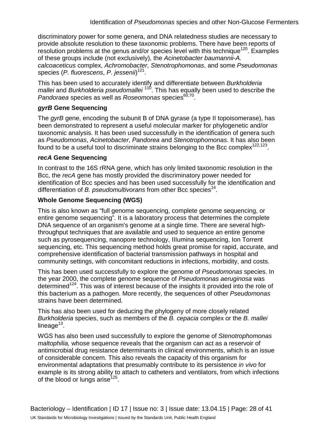discriminatory power for some genera, and DNA relatedness studies are necessary to provide absolute resolution to these taxonomic problems. There have been reports of resolution problems at the genus and/or species level with this technique<sup>120</sup>. Examples of these groups include (not exclusively), the *Acinetobacter baumannii*-*A. calcoaceticus* complex, *Achromobacter*, *Stenotrophomonas*, and some *Pseudomonas*  species (*P. fluorescens*, *P. jessenii*) 121.

This has been used to accurately identify and differentiate between *Burkholderia mallei* and *Burkholderia pseudomallei*<sup>110</sup>. This has equally been used to describe the *Pandoraea* species as well as *Roseomonas* species<sup>60,70</sup>.

#### *gyrB* **Gene Sequencing**

The *gyrB* gene, encoding the subunit B of DNA gyrase (a type II topoisomerase), has been demonstrated to represent a useful molecular marker for phylogenetic and/or taxonomic analysis. It has been used successfully in the identification of genera such as *Pseudomonas*, *Acinetobacter*, *Pandorea* and *Stenotrophomonas*. It has also been found to be a useful tool to discriminate strains belonging to the Bcc complex<sup>122,123</sup>.

#### *recA* **Gene Sequencing**

In contrast to the 16S rRNA gene, which has only limited taxonomic resolution in the Bcc, the *recA* gene has mostly provided the discriminatory power needed for identification of Bcc species and has been used successfully for the identification and differentiation of *B. pseudomultivorans* from other Bcc species<sup>14</sup>.

#### **Whole Genome Sequencing (WGS)**

This is also known as "full genome sequencing, complete genome sequencing, or entire genome sequencing". It is a laboratory process that determines the complete DNA sequence of an organism's genome at a single time. There are several highthroughput techniques that are available and used to sequence an entire genome such as pyrosequencing, nanopore technology, IIIumina sequencing, Ion Torrent sequencing, etc. This sequencing method holds great promise for rapid, accurate, and comprehensive identification of bacterial transmission pathways in hospital and community settings, with concomitant reductions in infections, morbidity, and costs.

This has been used successfully to explore the genome of *Pseudomonas* species. In the year 2000, the complete genome sequence of *Pseudomonas aeruginosa* was determined<sup>124</sup>. This was of interest because of the insights it provided into the role of this bacterium as a pathogen. More recently, the sequences of other *Pseudomonas* strains have been determined.

This has also been used for deducing the phylogeny of more closely related *Burkholderia* species, such as members of the *B. cepacia* complex or the *B. mallei* lineage $13$ .

WGS has also been used successfully to explore the genome of *Stenotrophomonas maltophilia,* whose sequence reveals that the organism can act as a reservoir of antimicrobial drug resistance determinants in clinical environments, which is an issue of considerable concern. This also reveals the capacity of this organism for environmental adaptations that presumably contribute to its persistence *in vivo* for example is its strong ability to attach to catheters and ventilators, from which infections of the blood or lungs arise<sup>125</sup>.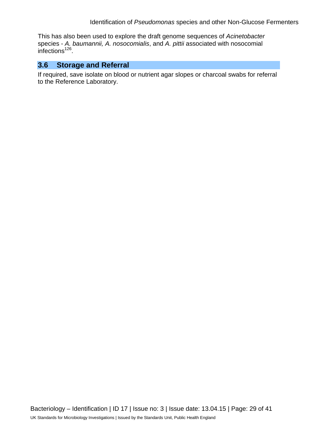This has also been used to explore the draft genome sequences of *Acinetobacter* species - *A. baumannii, A. nosocomialis*, and *A. pittii* associated with nosocomial infections<sup> $126$ </sup>.

# **3.6 Storage and Referral**

If required, save isolate on blood or nutrient agar slopes or charcoal swabs for referral to the Reference Laboratory.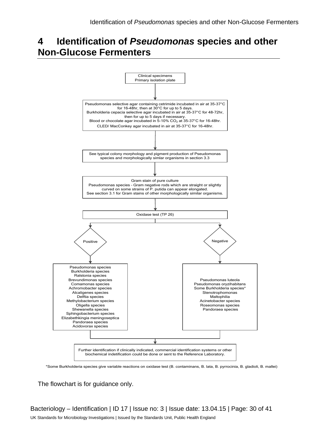# **4 Identification of** *Pseudomonas* **species and other Non-Glucose Fermenters**



\*Some Burkholderia species give variable reactions on oxidase test (B. contaminans, B. lata, B. pyrrocinia, B. gladioli, B. mallei)

The flowchart is for guidance only.

Bacteriology – Identification | ID 17 | Issue no: 3 | Issue date: 13.04.15 | Page: 30 of 41 UK Standards for Microbiology Investigations | Issued by the Standards Unit, Public Health England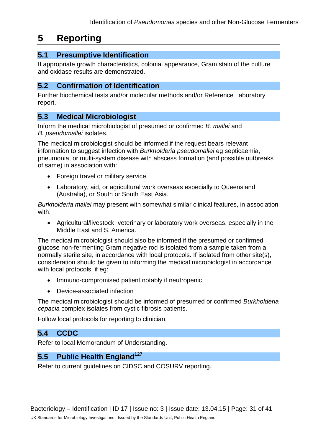# **5 Reporting**

# **5.1 Presumptive Identification**

If appropriate growth characteristics, colonial appearance, Gram stain of the culture and oxidase results are demonstrated.

# **5.2 Confirmation of Identification**

Further biochemical tests and/or molecular methods and/or Reference Laboratory report.

# **5.3 Medical Microbiologist**

Inform the medical microbiologist of presumed or confirmed *B. mallei* and *B. pseudomallei* isolates.

The medical microbiologist should be informed if the request bears relevant information to suggest infection with *Burkholderia pseudomallei* eg septicaemia, pneumonia, or multi-system disease with abscess formation (and possible outbreaks of same) in association with:

- Foreign travel or military service.
- Laboratory, aid, or agricultural work overseas especially to Queensland (Australia), or South or South East Asia.

*Burkholderia mallei* may present with somewhat similar clinical features, in association with:

• Agricultural/livestock, veterinary or laboratory work overseas, especially in the Middle East and S. America.

The medical microbiologist should also be informed if the presumed or confirmed glucose non-fermenting Gram negative rod is isolated from a sample taken from a normally sterile site, in accordance with local protocols. If isolated from other site(s), consideration should be given to informing the medical microbiologist in accordance with local protocols, if eg:

- Immuno-compromised patient notably if neutropenic
- Device-associated infection

The medical microbiologist should be informed of presumed or confirmed *Burkholderia cepacia* complex isolates from cystic fibrosis patients.

Follow local protocols for reporting to clinician.

# **5.4 CCDC**

Refer to local Memorandum of Understanding.

# **5.5 Public Health England**<sup>127</sup>

Refer to current guidelines on CIDSC and COSURV reporting.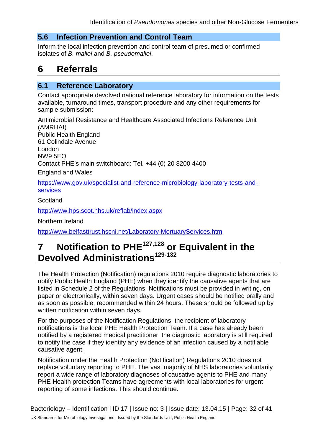## **5.6 Infection Prevention and Control Team**

Inform the local infection prevention and control team of presumed or confirmed isolates of *B. mallei* and *B. pseudomallei*.

# **6 Referrals**

## **6.1 Reference Laboratory**

Contact appropriate devolved national reference laboratory for information on the tests available, turnaround times, transport procedure and any other requirements for sample submission:

Antimicrobial Resistance and Healthcare Associated Infections Reference Unit (AMRHAI) Public Health England 61 Colindale Avenue London NW9 5EQ Contact PHE's main switchboard: Tel. +44 (0) 20 8200 4400 England and Wales

[https://www.gov.uk/specialist-and-reference-microbiology-laboratory-tests-and](https://www.gov.uk/specialist-and-reference-microbiology-laboratory-tests-and-services)[services](https://www.gov.uk/specialist-and-reference-microbiology-laboratory-tests-and-services)

**Scotland** 

<http://www.hps.scot.nhs.uk/reflab/index.aspx>

Northern Ireland

<http://www.belfasttrust.hscni.net/Laboratory-MortuaryServices.htm>

# **7 Notification to PHE127,128 or Equivalent in the Devolved Administrations129-132**

The Health Protection (Notification) regulations 2010 require diagnostic laboratories to notify Public Health England (PHE) when they identify the causative agents that are listed in Schedule 2 of the Regulations. Notifications must be provided in writing, on paper or electronically, within seven days. Urgent cases should be notified orally and as soon as possible, recommended within 24 hours. These should be followed up by written notification within seven days.

For the purposes of the Notification Regulations, the recipient of laboratory notifications is the local PHE Health Protection Team. If a case has already been notified by a registered medical practitioner, the diagnostic laboratory is still required to notify the case if they identify any evidence of an infection caused by a notifiable causative agent.

Notification under the Health Protection (Notification) Regulations 2010 does not replace voluntary reporting to PHE. The vast majority of NHS laboratories voluntarily report a wide range of laboratory diagnoses of causative agents to PHE and many PHE Health protection Teams have agreements with local laboratories for urgent reporting of some infections. This should continue.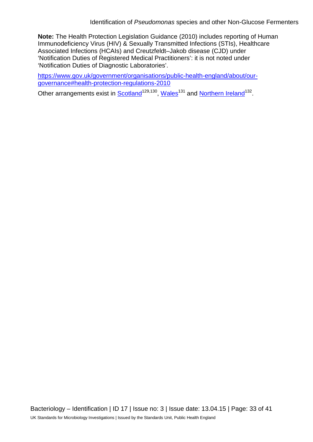**Note:** The Health Protection Legislation Guidance (2010) includes reporting of Human Immunodeficiency Virus (HIV) & Sexually Transmitted Infections (STIs), Healthcare Associated Infections (HCAIs) and Creutzfeldt–Jakob disease (CJD) under 'Notification Duties of Registered Medical Practitioners': it is not noted under 'Notification Duties of Diagnostic Laboratories'.

[https://www.gov.uk/government/organisations/public-health-england/about/our](https://www.gov.uk/government/organisations/public-health-england/about/our-governance#health-protection-regulations-2010)[governance#health-protection-regulations-2010](https://www.gov.uk/government/organisations/public-health-england/about/our-governance#health-protection-regulations-2010)

Other arrangements exist in [Scotland](http://www.scotland.gov.uk/Topics/Health/Policy/Public-Health-Act/Implementation/Guidance/Guidance-Part2)<sup>129,130</sup>, Wales<sup>131</sup> and [Northern Ireland](http://www.publichealth.hscni.net/directorate-public-health/health-protection)<sup>132</sup>.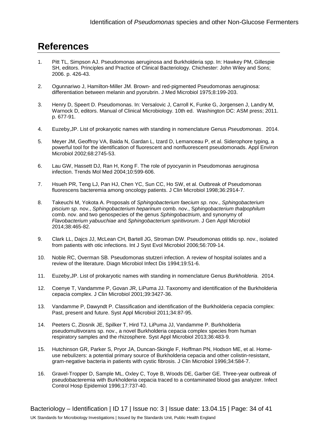# **References**

- 1. Pitt TL, Simpson AJ. Pseudomonas aeruginosa and Burkholderia spp. In: Hawkey PM, Gillespie SH, editors. Principles and Practice of Clinical Bacteriology. Chichester: John Wiley and Sons; 2006. p. 426-43.
- 2. Ogunnariwo J, Hamilton-Miller JM. Brown- and red-pigmented Pseudomonas aeruginosa: differentiation between melanin and pyorubrin. J Med Microbiol 1975;8:199-203.
- 3. Henry D, Speert D. Pseudomonas. In: Versalovic J, Carroll K, Funke G, Jorgensen J, Landry M, Warnock D, editors. Manual of Clinical Microbiology. 10th ed. Washington DC: ASM press; 2011. p. 677-91.
- 4. Euzeby,JP. List of prokaryotic names with standing in nomenclature Genus *Pseudomonas*. 2014.
- 5. Meyer JM, Geoffroy VA, Baida N, Gardan L, Izard D, Lemanceau P, et al. Siderophore typing, a powerful tool for the identification of fluorescent and nonfluorescent pseudomonads. Appl Environ Microbiol 2002;68:2745-53.
- 6. Lau GW, Hassett DJ, Ran H, Kong F. The role of pyocyanin in Pseudomonas aeruginosa infection. Trends Mol Med 2004;10:599-606.
- 7. Hsueh PR, Teng LJ, Pan HJ, Chen YC, Sun CC, Ho SW, et al. Outbreak of Pseudomonas fluorescens bacteremia among oncology patients. J Clin Microbiol 1998;36:2914-7.
- 8. Takeuchi M, Yokota A. Proposals of *Sphingobacterium faecium sp*. nov., *Sphingobacterium piscium sp*. nov., *Sphingobacterium heparinum* comb. nov., S*phingobacterium thalpophilum* comb. nov. and two genospecies of the genus *Sphingobactrium*, and synonymy of *Flavobacterium yabuuchiae* and *Sphingobacterium spiritivorum*. J Gen Appl Microbiol 2014;38:465-82.
- 9. Clark LL, Dajcs JJ, McLean CH, Bartell JG, Stroman DW. Pseudomonas otitidis sp. nov., isolated from patients with otic infections. Int J Syst Evol Microbiol 2006;56:709-14.
- 10. Noble RC, Overman SB. Pseudomonas stutzeri infection. A review of hospital isolates and a review of the literature. Diagn Microbiol Infect Dis 1994;19:51-6.
- 11. Euzeby,JP. List of prokaryotic names with standing in nomenclature Genus *Burkholderia*. 2014.
- 12. Coenye T, Vandamme P, Govan JR, LiPuma JJ. Taxonomy and identification of the Burkholderia cepacia complex. J Clin Microbiol 2001;39:3427-36.
- 13. Vandamme P, Dawyndt P. Classification and identification of the Burkholderia cepacia complex: Past, present and future. Syst Appl Microbiol 2011;34:87-95.
- 14. Peeters C, Zlosnik JE, Spilker T, Hird TJ, LiPuma JJ, Vandamme P. Burkholderia pseudomultivorans sp. nov., a novel Burkholderia cepacia complex species from human respiratory samples and the rhizosphere. Syst Appl Microbiol 2013;36:483-9.
- 15. Hutchinson GR, Parker S, Pryor JA, Duncan-Skingle F, Hoffman PN, Hodson ME, et al. Homeuse nebulizers: a potential primary source of Burkholderia cepacia and other colistin-resistant, gram-negative bacteria in patients with cystic fibrosis. J Clin Microbiol 1996;34:584-7.
- 16. Gravel-Tropper D, Sample ML, Oxley C, Toye B, Woods DE, Garber GE. Three-year outbreak of pseudobacteremia with Burkholderia cepacia traced to a contaminated blood gas analyzer. Infect Control Hosp Epidemiol 1996;17:737-40.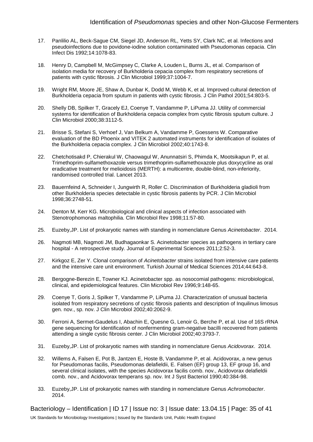- 17. Panlilio AL, Beck-Sague CM, Siegel JD, Anderson RL, Yetts SY, Clark NC, et al. Infections and pseudoinfections due to povidone-iodine solution contaminated with Pseudomonas cepacia. Clin Infect Dis 1992;14:1078-83.
- 18. Henry D, Campbell M, McGimpsey C, Clarke A, Louden L, Burns JL, et al. Comparison of isolation media for recovery of Burkholderia cepacia complex from respiratory secretions of patients with cystic fibrosis. J Clin Microbiol 1999;37:1004-7.
- 19. Wright RM, Moore JE, Shaw A, Dunbar K, Dodd M, Webb K, et al. Improved cultural detection of Burkholderia cepacia from sputum in patients with cystic fibrosis. J Clin Pathol 2001;54:803-5.
- 20. Shelly DB, Spilker T, Gracely EJ, Coenye T, Vandamme P, LiPuma JJ. Utility of commercial systems for identification of Burkholderia cepacia complex from cystic fibrosis sputum culture. J Clin Microbiol 2000;38:3112-5.
- 21. Brisse S, Stefani S, Verhoef J, Van Belkum A, Vandamme P, Goessens W. Comparative evaluation of the BD Phoenix and VITEK 2 automated instruments for identification of isolates of the Burkholderia cepacia complex. J Clin Microbiol 2002;40:1743-8.
- 22. Chetchotisakd P, Chierakul W, Chaowagul W, Anunnatsiri S, Phimda K, Mootsikapun P, et al. Trimethoprim-sulfamethoxazole versus trimethoprim-sulfamethoxazole plus doxycycline as oral eradicative treatment for melioidosis (MERTH): a multicentre, double-blind, non-inferiority, randomised controlled trial. Lancet 2013.
- 23. Bauernfeind A, Schneider I, Jungwirth R, Roller C. Discrimination of Burkholderia gladioli from other Burkholderia species detectable in cystic fibrosis patients by PCR. J Clin Microbiol 1998;36:2748-51.
- 24. Denton M, Kerr KG. Microbiological and clinical aspects of infection associated with Stenotrophomonas maltophilia. Clin Microbiol Rev 1998;11:57-80.
- 25. Euzeby,JP. List of prokaryotic names with standing in nomenclature Genus *Acinetobacter*. 2014.
- 26. Nagmoti MB, Nagmoti JM, Budhagaonkar S. Acinetobacter species as pathogens in tertiary care hospital - A retrospective study. Journal of Experimental Sciences 2011;2:52-3.
- 27. Kirkgoz E, Zer Y. Clonal comparison of *Acinetobacter* strains isolated from intensive care patients and the intensive care unit environment. Turkish Journal of Medical Sciences 2014;44:643-8.
- 28. Bergogne-Berezin E, Towner KJ. Acinetobacter spp. as nosocomial pathogens: microbiological, clinical, and epidemiological features. Clin Microbiol Rev 1996;9:148-65.
- 29. Coenye T, Goris J, Spilker T, Vandamme P, LiPuma JJ. Characterization of unusual bacteria isolated from respiratory secretions of cystic fibrosis patients and description of Inquilinus limosus gen. nov., sp. nov. J Clin Microbiol 2002;40:2062-9.
- 30. Ferroni A, Sermet-Gaudelus I, Abachin E, Quesne G, Lenoir G, Berche P, et al. Use of 16S rRNA gene sequencing for identification of nonfermenting gram-negative bacilli recovered from patients attending a single cystic fibrosis center. J Clin Microbiol 2002;40:3793-7.
- 31. Euzeby,JP. List of prokaryotic names with standing in nomenclature Genus *Acidovorax*. 2014.
- 32. Willems A, Falsen E, Pot B, Jantzen E, Hoste B, Vandamme P, et al. Acidovorax, a new genus for Pseudomonas facilis, Pseudomonas delafieldii, E. Falsen (EF) group 13, EF group 16, and several clinical isolates, with the species Acidovorax facilis comb. nov., Acidovorax delafieldii comb. nov., and Acidovorax temperans sp. nov. Int J Syst Bacteriol 1990;40:384-98.
- 33. Euzeby,JP. List of prokaryotic names with standing in nomenclature Genus *Achromobacter*. 2014.

Bacteriology – Identification | ID 17 | Issue no: 3 | Issue date: 13.04.15 | Page: 35 of 41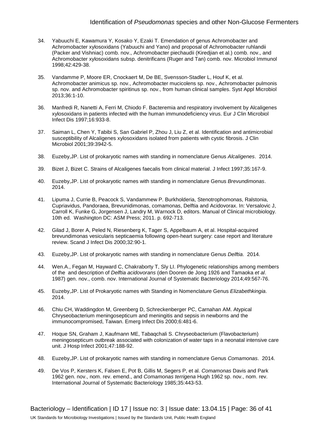- 34. Yabuuchi E, Kawamura Y, Kosako Y, Ezaki T. Emendation of genus Achromobacter and Achromobacter xylosoxidans (Yabuuchi and Yano) and proposal of Achromobacter ruhlandii (Packer and Vishniac) comb. nov., Achromobacter piechaudii (Kiredjian et al.) comb. nov., and Achromobacter xylosoxidans subsp. denitrificans (Ruger and Tan) comb. nov. Microbiol Immunol 1998;42:429-38.
- 35. Vandamme P, Moore ER, Cnockaert M, De BE, Svensson-Stadler L, Houf K, et al. Achromobacter animicus sp. nov., Achromobacter mucicolens sp. nov., Achromobacter pulmonis sp. nov. and Achromobacter spiritinus sp. nov., from human clinical samples. Syst Appl Microbiol 2013;36:1-10.
- 36. Manfredi R, Nanetti A, Ferri M, Chiodo F. Bacteremia and respiratory involvement by Alcaligenes xylosoxidans in patients infected with the human immunodeficiency virus. Eur J Clin Microbiol Infect Dis 1997;16:933-8.
- 37. Saiman L, Chen Y, Tabibi S, San Gabriel P, Zhou J, Liu Z, et al. Identification and antimicrobial susceptibility of Alcaligenes xylosoxidans isolated from patients with cystic fibrosis. J Clin Microbiol 2001;39:3942-5.
- 38. Euzeby,JP. List of prokaryotic names with standing in nomenclature Genus *Alcaligenes*. 2014.
- 39. Bizet J, Bizet C. Strains of Alcaligenes faecalis from clinical material. J Infect 1997;35:167-9.
- 40. Euzeby,JP. List of prokaryotic names with standing in nomenclature Genus *Brevundimonas*. 2014.
- 41. Lipuma J, Currie B, Peacock S, Vandammew P. Burkholderia, Stenotrophomonas, Ralstonia, Cupriavidus, Pandoraea, Brevunidimonas, comamonas, Delftia and Acidovorax. In: Versalovic J, Carroll K, Funke G, Jorgensen J, Landry M, Warnock D, editors. Manual of Clinical microbiology. 10th ed. Washington DC: ASM Press; 2011. p. 692-713.
- 42. Gilad J, Borer A, Peled N, Riesenberg K, Tager S, Appelbaum A, et al. Hospital-acquired brevundimonas vesicularis septicaemia following open-heart surgery: case report and literature review. Scand J Infect Dis 2000;32:90-1.
- 43. Euzeby,JP. List of prokaryotic names with standing in nomenclature Genus *Delftia*. 2014.
- 44. Wen.A., Fegan M, Hayward C, Chakraborty T, Sly LI. Phylogenetic relationships among members of the and description of *Delftia acidovorans* (den Dooren de Jong 1926 and Tamaoka *et al*. 1987) gen. nov., comb. nov. International Journal of Systematic Bacteriology 2014;49:567-76.
- 45. Euzeby,JP. List of Prokaryotic names with Standing in Nomenclature Genus *Elizabethkingia*. 2014.
- 46. Chiu CH, Waddingdon M, Greenberg D, Schreckenberger PC, Carnahan AM. Atypical Chryseobacterium meningosepticum and meningitis and sepsis in newborns and the immunocompromised, Taiwan. Emerg Infect Dis 2000;6:481-6.
- 47. Hoque SN, Graham J, Kaufmann ME, Tabaqchali S. Chryseobacterium (Flavobacterium) meningosepticum outbreak associated with colonization of water taps in a neonatal intensive care unit. J Hosp Infect 2001;47:188-92.
- 48. Euzeby,JP. List of prokaryotic names with standing in nomenclature Genus *Comamonas*. 2014.
- 49. De Vos P, Kersters K, Falsen E, Pot B, Gillis M, Segers P, et al. *Comamonas* Davis and Park 1962 gen. nov., nom. rev. emend., and *Comamonas terrigena* Hugh 1962 sp. nov., nom. rev. International Journal of Systematic Bacteriology 1985;35:443-53.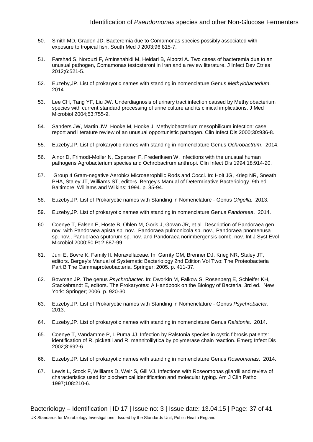- 50. Smith MD, Gradon JD. Bacteremia due to Comamonas species possibly associated with exposure to tropical fish. South Med J 2003;96:815-7.
- 51. Farshad S, Norouzi F, Aminshahidi M, Heidari B, Alborzi A. Two cases of bacteremia due to an unusual pathogen, Comamonas testosteroni in Iran and a review literature. J Infect Dev Ctries 2012;6:521-5.
- 52. Euzeby,JP. List of prokaryotic names with standing in nomenclature Genus *Methylobacterium*. 2014.
- 53. Lee CH, Tang YF, Liu JW. Underdiagnosis of urinary tract infection caused by Methylobacterium species with current standard processing of urine culture and its clinical implications. J Med Microbiol 2004;53:755-9.
- 54. Sanders JW, Martin JW, Hooke M, Hooke J. Methylobacterium mesophilicum infection: case report and literature review of an unusual opportunistic pathogen. Clin Infect Dis 2000;30:936-8.
- 55. Euzeby,JP. List of prokaryotic names with standing in nomenclature Genus *Ochrobactrum*. 2014.
- 56. Alnor D, Frimodt-Moller N, Espersen F, Frederiksen W. Infections with the unusual human pathogens Agrobacterium species and Ochrobactrum anthropi. Clin Infect Dis 1994;18:914-20.
- 57. Group 4 Gram-negative Aerobic/ Microaerophilic Rods and Cocci. In: Holt JG, Krieg NR, Sneath PHA, Staley JT, Williams ST, editors. Bergey's Manual of Determinative Bacteriology. 9th ed. Baltimore: Williams and Wilkins; 1994. p. 85-94.
- 58. Euzeby,JP. List of Prokaryotic names with Standing in Nomenclature Genus *Oligella*. 2013.
- 59. Euzeby,JP. List of prokaryotic names with standing in nomenclature Genus *Pandoraea*. 2014.
- 60. Coenye T, Falsen E, Hoste B, Ohlen M, Goris J, Govan JR, et al. Description of Pandoraea gen. nov. with Pandoraea apista sp. nov., Pandoraea pulmonicola sp. nov., Pandoraea pnomenusa sp. nov., Pandoraea sputorum sp. nov. and Pandoraea norimbergensis comb. nov. Int J Syst Evol Microbiol 2000;50 Pt 2:887-99.
- 61. Juni E, Bovre K. Family II. Moraxellaceae. In: Garrity GM, Brenner DJ, Krieg NR, Staley JT, editors. Bergey's Manual of Systematic Bacteriology 2nd Edition Vol Two: The Proteobacteria Part B The Cammaproteobacteria. Springer; 2005. p. 411-37.
- 62. Bowman JP. The genus *Psychrobacter*. In: Dworkin M, Falkow S, Rosenberg E, Schleifer KH, Stackebrandt E, editors. The Prokaryotes: A Handbook on the Biology of Bacteria. 3rd ed. New York: Springer; 2006. p. 920-30.
- 63. Euzeby,JP. List of Prokaryotic names with Standing in Nomenclature Genus *Psychrobacter*. 2013.
- 64. Euzeby,JP. List of prokaryotic names with standing in nomenclature Genus *Ralstonia*. 2014.
- 65. Coenye T, Vandamme P, LiPuma JJ. Infection by Ralstonia species in cystic fibrosis patients: identification of R. pickettii and R. mannitolilytica by polymerase chain reaction. Emerg Infect Dis 2002;8:692-6.
- 66. Euzeby,JP. List of prokaryotic names with standing in nomenclature Genus *Roseomonas*. 2014.
- 67. Lewis L, Stock F, Williams D, Weir S, Gill VJ. Infections with Roseomonas gilardii and review of characteristics used for biochemical identification and molecular typing. Am J Clin Pathol 1997;108:210-6.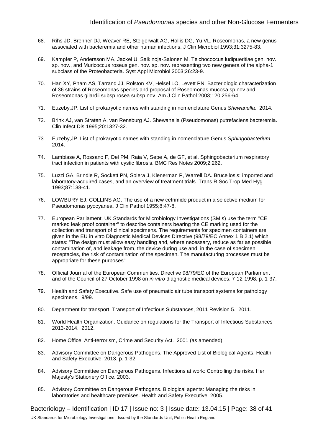- 68. Rihs JD, Brenner DJ, Weaver RE, Steigerwalt AG, Hollis DG, Yu VL. Roseomonas, a new genus associated with bacteremia and other human infections. J Clin Microbiol 1993;31:3275-83.
- 69. Kampfer P, Andersson MA, Jackel U, Salkinoja-Salonen M. Teichococcus ludipueritiae gen. nov. sp. nov., and Muricoccus roseus gen. nov. sp. nov. representing two new genera of the alpha-1 subclass of the Proteobacteria. Syst Appl Microbiol 2003;26:23-9.
- 70. Han XY, Pham AS, Tarrand JJ, Rolston KV, Helsel LO, Levett PN. Bacteriologic characterization of 36 strains of Roseomonas species and proposal of Roseomonas mucosa sp nov and Roseomonas gilardii subsp rosea subsp nov. Am J Clin Pathol 2003;120:256-64.
- 71. Euzeby,JP. List of prokaryotic names with standing in nomenclature Genus *Shewanella*. 2014.
- 72. Brink AJ, van Straten A, van Rensburg AJ. Shewanella (Pseudomonas) putrefaciens bacteremia. Clin Infect Dis 1995;20:1327-32.
- 73. Euzeby,JP. List of prokaryotic names with standing in nomenclature Genus *Sphingobacterium*. 2014.
- 74. Lambiase A, Rossano F, Del PM, Raia V, Sepe A, de GF, et al. Sphingobacterium respiratory tract infection in patients with cystic fibrosis. BMC Res Notes 2009;2:262.
- 75. Luzzi GA, Brindle R, Sockett PN, Solera J, Klenerman P, Warrell DA. Brucellosis: imported and laboratory-acquired cases, and an overview of treatment trials. Trans R Soc Trop Med Hyg 1993;87:138-41.
- 76. LOWBURY EJ, COLLINS AG. The use of a new cetrimide product in a selective medium for Pseudomonas pyocyanea. J Clin Pathol 1955;8:47-8.
- 77. European Parliament. UK Standards for Microbiology Investigations (SMIs) use the term "CE marked leak proof container" to describe containers bearing the CE marking used for the collection and transport of clinical specimens. The requirements for specimen containers are given in the EU in vitro Diagnostic Medical Devices Directive (98/79/EC Annex 1 B 2.1) which states: "The design must allow easy handling and, where necessary, reduce as far as possible contamination of, and leakage from, the device during use and, in the case of specimen receptacles, the risk of contamination of the specimen. The manufacturing processes must be appropriate for these purposes".
- 78. Official Journal of the European Communities. Directive 98/79/EC of the European Parliament and of the Council of 27 October 1998 on *in vitro* diagnostic medical devices. 7-12-1998. p. 1-37.
- 79. Health and Safety Executive. Safe use of pneumatic air tube transport systems for pathology specimens. 9/99.
- 80. Department for transport. Transport of Infectious Substances, 2011 Revision 5. 2011.
- 81. World Health Organization. Guidance on regulations for the Transport of Infectious Substances 2013-2014. 2012.
- 82. Home Office. Anti-terrorism, Crime and Security Act. 2001 (as amended).
- 83. Advisory Committee on Dangerous Pathogens. The Approved List of Biological Agents. Health and Safety Executive. 2013. p. 1-32
- 84. Advisory Committee on Dangerous Pathogens. Infections at work: Controlling the risks. Her Majesty's Stationery Office. 2003.
- 85. Advisory Committee on Dangerous Pathogens. Biological agents: Managing the risks in laboratories and healthcare premises. Health and Safety Executive. 2005.

Bacteriology – Identification | ID 17 | Issue no: 3 | Issue date: 13.04.15 | Page: 38 of 41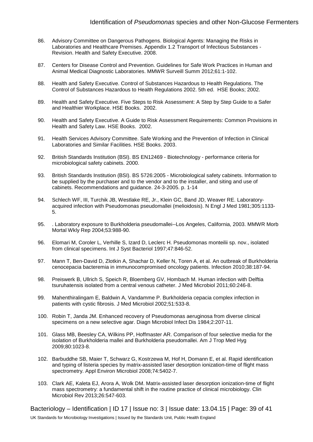- 86. Advisory Committee on Dangerous Pathogens. Biological Agents: Managing the Risks in Laboratories and Healthcare Premises. Appendix 1.2 Transport of Infectious Substances - Revision. Health and Safety Executive. 2008.
- 87. Centers for Disease Control and Prevention. Guidelines for Safe Work Practices in Human and Animal Medical Diagnostic Laboratories. MMWR Surveill Summ 2012;61:1-102.
- 88. Health and Safety Executive. Control of Substances Hazardous to Health Regulations. The Control of Substances Hazardous to Health Regulations 2002. 5th ed. HSE Books; 2002.
- 89. Health and Safety Executive. Five Steps to Risk Assessment: A Step by Step Guide to a Safer and Healthier Workplace. HSE Books. 2002.
- 90. Health and Safety Executive. A Guide to Risk Assessment Requirements: Common Provisions in Health and Safety Law. HSE Books. 2002.
- 91. Health Services Advisory Committee. Safe Working and the Prevention of Infection in Clinical Laboratories and Similar Facilities. HSE Books. 2003.
- 92. British Standards Institution (BSI). BS EN12469 Biotechnology performance criteria for microbiological safety cabinets. 2000.
- 93. British Standards Institution (BSI). BS 5726:2005 Microbiological safety cabinets. Information to be supplied by the purchaser and to the vendor and to the installer, and siting and use of cabinets. Recommendations and guidance. 24-3-2005. p. 1-14
- 94. Schlech WF, III, Turchik JB, Westlake RE, Jr., Klein GC, Band JD, Weaver RE. Laboratoryacquired infection with Pseudomonas pseudomallei (melioidosis). N Engl J Med 1981;305:1133- 5.
- 95. . Laboratory exposure to Burkholderia pseudomallei--Los Angeles, California, 2003. MMWR Morb Mortal Wkly Rep 2004;53:988-90.
- 96. Elomari M, Coroler L, Verhille S, Izard D, Leclerc H. Pseudomonas monteilii sp. nov., isolated from clinical specimens. Int J Syst Bacteriol 1997;47:846-52.
- 97. Mann T, Ben-David D, Zlotkin A, Shachar D, Keller N, Toren A, et al. An outbreak of Burkholderia cenocepacia bacteremia in immunocompromised oncology patients. Infection 2010;38:187-94.
- 98. Preiswerk B, Ullrich S, Speich R, Bloemberg GV, Hombach M. Human infection with Delftia tsuruhatensis isolated from a central venous catheter. J Med Microbiol 2011;60:246-8.
- 99. Mahenthiralingam E, Baldwin A, Vandamme P. Burkholderia cepacia complex infection in patients with cystic fibrosis. J Med Microbiol 2002;51:533-8.
- 100. Robin T, Janda JM. Enhanced recovery of Pseudomonas aeruginosa from diverse clinical specimens on a new selective agar. Diagn Microbiol Infect Dis 1984;2:207-11.
- 101. Glass MB, Beesley CA, Wilkins PP, Hoffmaster AR. Comparison of four selective media for the isolation of Burkholderia mallei and Burkholderia pseudomallei. Am J Trop Med Hyg 2009;80:1023-8.
- 102. Barbuddhe SB, Maier T, Schwarz G, Kostrzewa M, Hof H, Domann E, et al. Rapid identification and typing of listeria species by matrix-assisted laser desorption ionization-time of flight mass spectrometry. Appl Environ Microbiol 2008;74:5402-7.
- 103. Clark AE, Kaleta EJ, Arora A, Wolk DM. Matrix-assisted laser desorption ionization-time of flight mass spectrometry: a fundamental shift in the routine practice of clinical microbiology. Clin Microbiol Rev 2013;26:547-603.

Bacteriology – Identification | ID 17 | Issue no: 3 | Issue date: 13.04.15 | Page: 39 of 41 UK Standards for Microbiology Investigations | Issued by the Standards Unit, Public Health England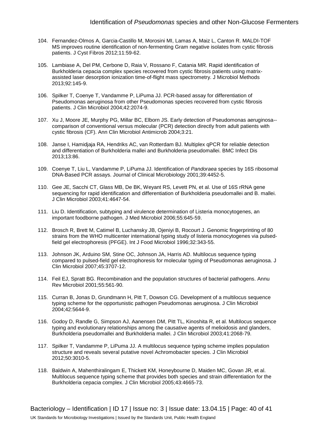- 104. Fernandez-Olmos A, Garcia-Castillo M, Morosini MI, Lamas A, Maiz L, Canton R. MALDI-TOF MS improves routine identification of non-fermenting Gram negative isolates from cystic fibrosis patients. J Cyst Fibros 2012;11:59-62.
- 105. Lambiase A, Del PM, Cerbone D, Raia V, Rossano F, Catania MR. Rapid identification of Burkholderia cepacia complex species recovered from cystic fibrosis patients using matrixassisted laser desorption ionization time-of-flight mass spectrometry. J Microbiol Methods 2013;92:145-9.
- 106. Spilker T, Coenye T, Vandamme P, LiPuma JJ. PCR-based assay for differentiation of Pseudomonas aeruginosa from other Pseudomonas species recovered from cystic fibrosis patients. J Clin Microbiol 2004;42:2074-9.
- 107. Xu J, Moore JE, Murphy PG, Millar BC, Elborn JS. Early detection of Pseudomonas aeruginosa- comparison of conventional versus molecular (PCR) detection directly from adult patients with cystic fibrosis (CF). Ann Clin Microbiol Antimicrob 2004;3:21.
- 108. Janse I, Hamidjaja RA, Hendriks AC, van Rotterdam BJ. Multiplex qPCR for reliable detection and differentiation of Burkholderia mallei and Burkholderia pseudomallei. BMC Infect Dis 2013;13:86.
- 109. Coenye T, Liu L, Vandamme P, LiPuma JJ. Identification of *Pandoraea* species by 16S ribosomal DNA-Based PCR assays. Journal of Clinical Microbiology 2001;39:4452-5.
- 110. Gee JE, Sacchi CT, Glass MB, De BK, Weyant RS, Levett PN, et al. Use of 16S rRNA gene sequencing for rapid identification and differentiation of Burkholderia pseudomallei and B. mallei. J Clin Microbiol 2003;41:4647-54.
- 111. Liu D. Identification, subtyping and virulence determination of Listeria monocytogenes, an important foodborne pathogen. J Med Microbiol 2006;55:645-59.
- 112. Brosch R, Brett M, Catimel B, Luchansky JB, Ojeniyi B, Rocourt J. Genomic fingerprinting of 80 strains from the WHO multicenter international typing study of listeria monocytogenes via pulsedfield gel electrophoresis (PFGE). Int J Food Microbiol 1996;32:343-55.
- 113. Johnson JK, Arduino SM, Stine OC, Johnson JA, Harris AD. Multilocus sequence typing compared to pulsed-field gel electrophoresis for molecular typing of Pseudomonas aeruginosa. J Clin Microbiol 2007;45:3707-12.
- 114. Feil EJ, Spratt BG. Recombination and the population structures of bacterial pathogens. Annu Rev Microbiol 2001;55:561-90.
- 115. Curran B, Jonas D, Grundmann H, Pitt T, Dowson CG. Development of a multilocus sequence typing scheme for the opportunistic pathogen Pseudomonas aeruginosa. J Clin Microbiol 2004;42:5644-9.
- 116. Godoy D, Randle G, Simpson AJ, Aanensen DM, Pitt TL, Kinoshita R, et al. Multilocus sequence typing and evolutionary relationships among the causative agents of melioidosis and glanders, Burkholderia pseudomallei and Burkholderia mallei. J Clin Microbiol 2003;41:2068-79.
- 117. Spilker T, Vandamme P, LiPuma JJ. A multilocus sequence typing scheme implies population structure and reveals several putative novel Achromobacter species. J Clin Microbiol 2012;50:3010-5.
- 118. Baldwin A, Mahenthiralingam E, Thickett KM, Honeybourne D, Maiden MC, Govan JR, et al. Multilocus sequence typing scheme that provides both species and strain differentiation for the Burkholderia cepacia complex. J Clin Microbiol 2005;43:4665-73.